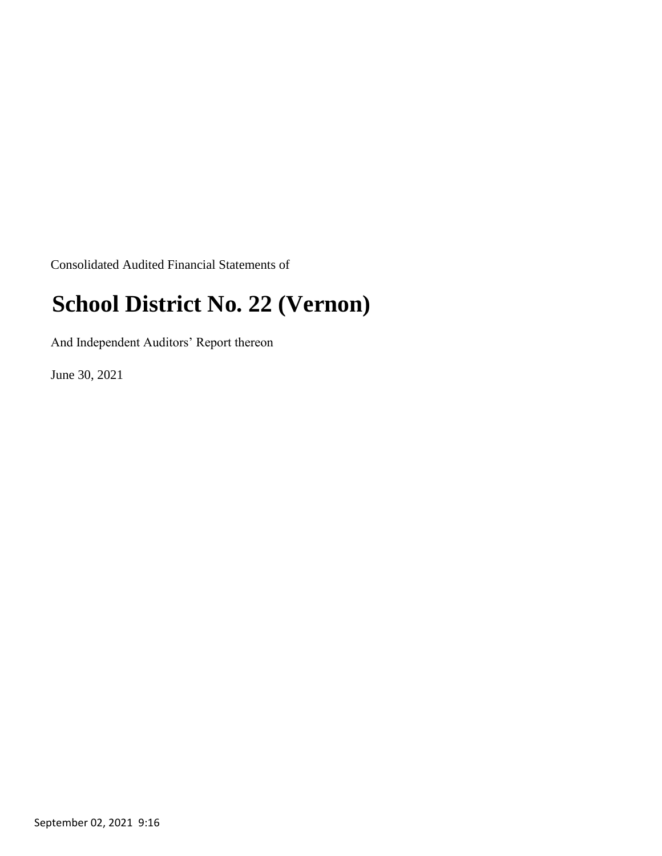Consolidated Audited Financial Statements of

# **School District No. 22 (Vernon)**

And Independent Auditors' Report thereon

June 30, 2021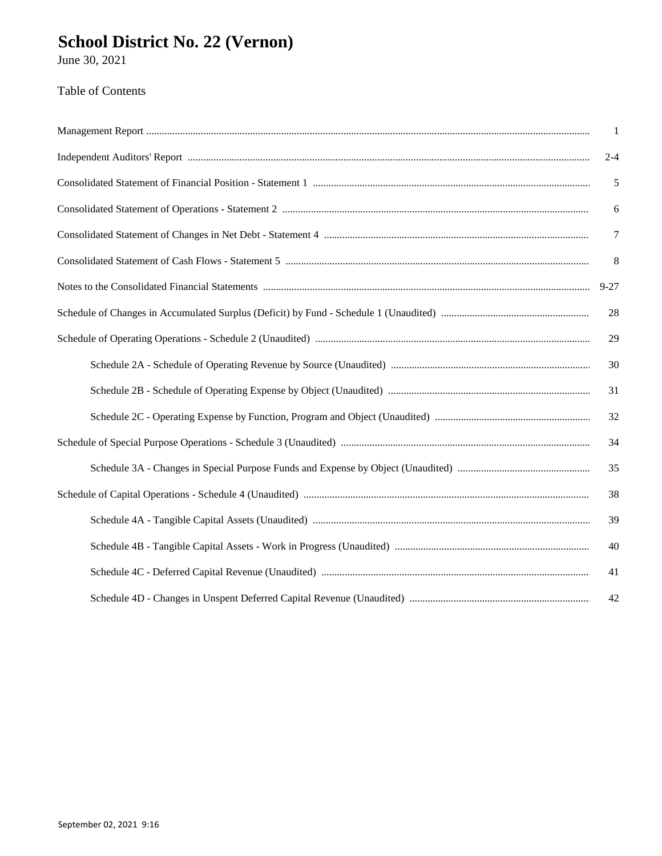# School District No. 22 (Vernon)<br>June 30, 2021

### Table of Contents

| $\overline{1}$ |
|----------------|
| $2 - 4$        |
| $\overline{5}$ |
| 6              |
| $\overline{7}$ |
| 8              |
| $9 - 27$       |
| 28             |
| 29             |
| 30             |
| 31             |
| 32             |
| 34             |
| 35             |
| 38             |
| 39             |
| 40             |
| 41             |
| 42             |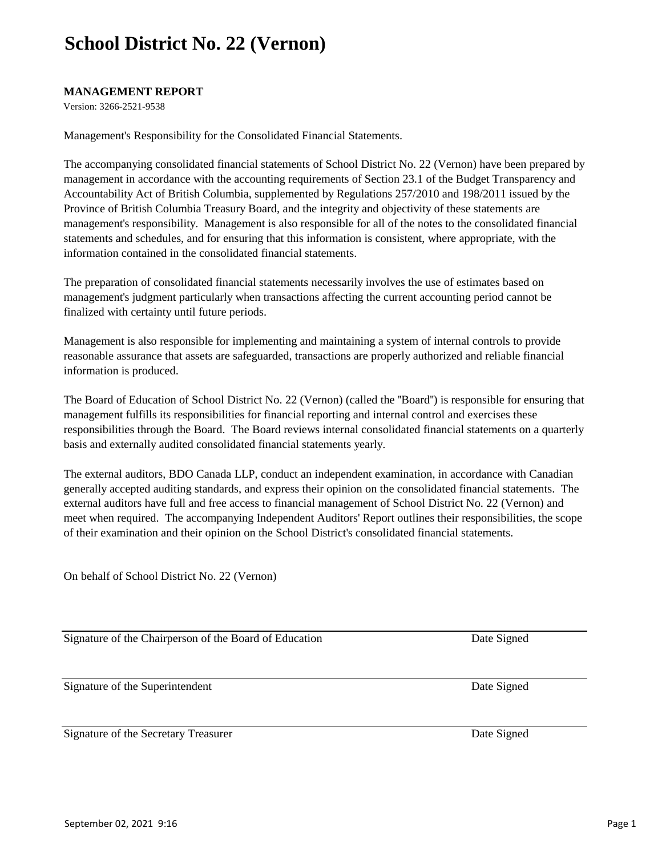#### **MANAGEMENT REPORT**

Version: 3266-2521-9538

Management's Responsibility for the Consolidated Financial Statements.

The accompanying consolidated financial statements of School District No. 22 (Vernon) have been prepared by management in accordance with the accounting requirements of Section 23.1 of the Budget Transparency and Accountability Act of British Columbia, supplemented by Regulations 257/2010 and 198/2011 issued by the Province of British Columbia Treasury Board, and the integrity and objectivity of these statements are management's responsibility. Management is also responsible for all of the notes to the consolidated financial statements and schedules, and for ensuring that this information is consistent, where appropriate, with the information contained in the consolidated financial statements.

The preparation of consolidated financial statements necessarily involves the use of estimates based on management's judgment particularly when transactions affecting the current accounting period cannot be finalized with certainty until future periods.

Management is also responsible for implementing and maintaining a system of internal controls to provide reasonable assurance that assets are safeguarded, transactions are properly authorized and reliable financial information is produced.

The Board of Education of School District No. 22 (Vernon) (called the ''Board'') is responsible for ensuring that management fulfills its responsibilities for financial reporting and internal control and exercises these responsibilities through the Board. The Board reviews internal consolidated financial statements on a quarterly basis and externally audited consolidated financial statements yearly.

The external auditors, BDO Canada LLP, conduct an independent examination, in accordance with Canadian generally accepted auditing standards, and express their opinion on the consolidated financial statements. The external auditors have full and free access to financial management of School District No. 22 (Vernon) and meet when required. The accompanying Independent Auditors' Report outlines their responsibilities, the scope of their examination and their opinion on the School District's consolidated financial statements.

On behalf of School District No. 22 (Vernon)

Signature of the Chairperson of the Board of Education

Signature of the Superintendent

Signature of the Secretary Treasurer Date Signed Date Signed

Date Signed

Date Signed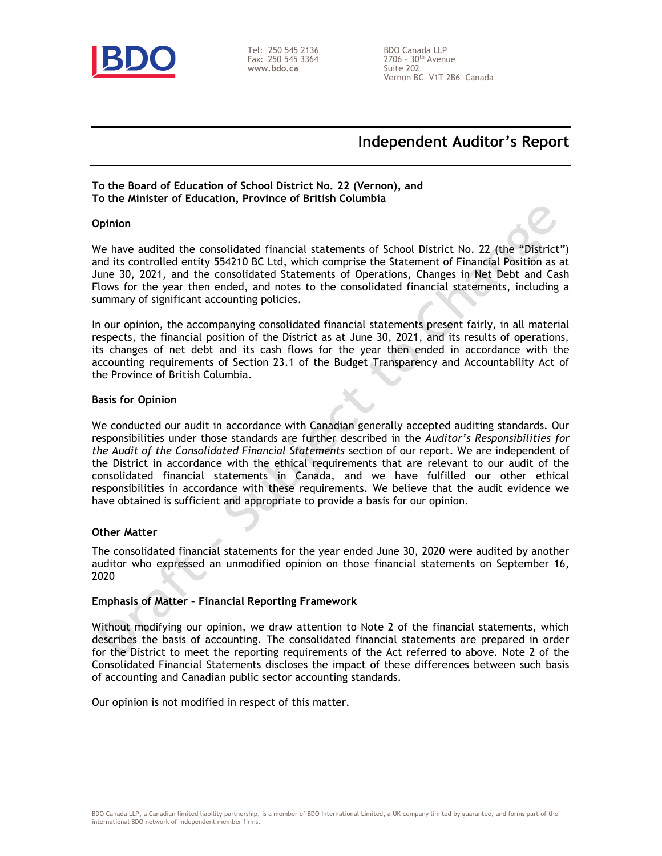

Tel: 250 545 2136 Fax: 250 545 3364 www.bdo.ca

BDO Canada LLP 2706 – 30th Avenue Suite 202 Vernon BC V1T 2B6 Canada

### Independent Auditor's Report

#### To the Board of Education of School District No. 22 (Vernon), and To the Minister of Education, Province of British Columbia

#### **Opinion**

We have audited the consolidated financial statements of School District No. 22 (the "District") and its controlled entity 554210 BC Ltd, which comprise the Statement of Financial Position as at June 30, 2021, and the consolidated Statements of Operations, Changes in Net Debt and Cash Flows for the year then ended, and notes to the consolidated financial statements, including a summary of significant accounting policies.

In our opinion, the accompanying consolidated financial statements present fairly, in all material respects, the financial position of the District as at June 30, 2021, and its results of operations, its changes of net debt and its cash flows for the year then ended in accordance with the accounting requirements of Section 23.1 of the Budget Transparency and Accountability Act of the Province of British Columbia.

#### Basis for Opinion

We conducted our audit in accordance with Canadian generally accepted auditing standards. Our responsibilities under those standards are further described in the Auditor's Responsibilities for the Audit of the Consolidated Financial Statements section of our report. We are independent of the District in accordance with the ethical requirements that are relevant to our audit of the consolidated financial statements in Canada, and we have fulfilled our other ethical responsibilities in accordance with these requirements. We believe that the audit evidence we have obtained is sufficient and appropriate to provide a basis for our opinion.

#### Other Matter

The consolidated financial statements for the year ended June 30, 2020 were audited by another auditor who expressed an unmodified opinion on those financial statements on September 16, 2020

#### Emphasis of Matter – Financial Reporting Framework

Without modifying our opinion, we draw attention to Note 2 of the financial statements, which describes the basis of accounting. The consolidated financial statements are prepared in order for the District to meet the reporting requirements of the Act referred to above. Note 2 of the Consolidated Financial Statements discloses the impact of these differences between such basis of accounting and Canadian public sector accounting standards.

Our opinion is not modified in respect of this matter.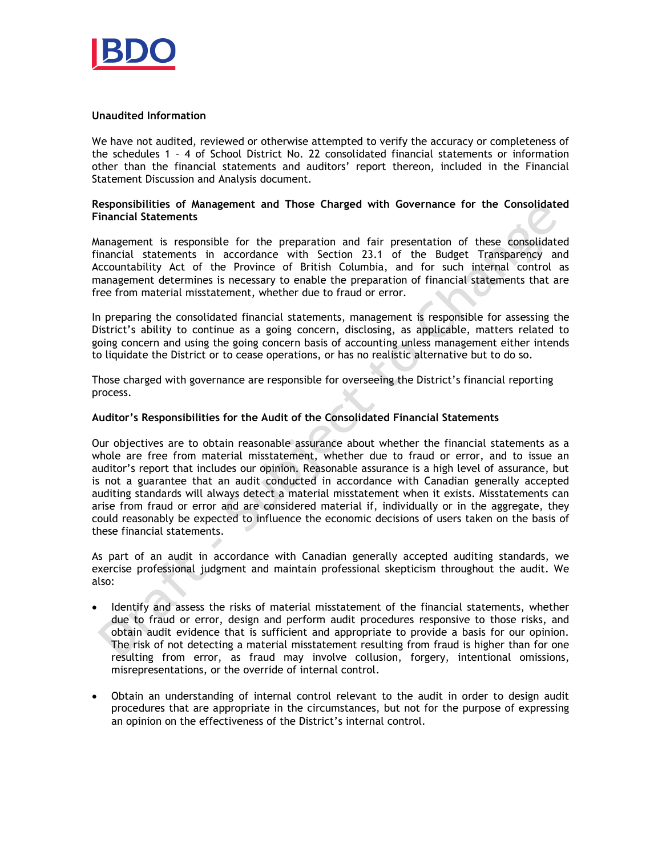

#### Unaudited Information

We have not audited, reviewed or otherwise attempted to verify the accuracy or completeness of the schedules 1 – 4 of School District No. 22 consolidated financial statements or information other than the financial statements and auditors' report thereon, included in the Financial Statement Discussion and Analysis document.

#### Responsibilities of Management and Those Charged with Governance for the Consolidated Financial Statements

Management is responsible for the preparation and fair presentation of these consolidated financial statements in accordance with Section 23.1 of the Budget Transparency and Accountability Act of the Province of British Columbia, and for such internal control as management determines is necessary to enable the preparation of financial statements that are free from material misstatement, whether due to fraud or error.

In preparing the consolidated financial statements, management is responsible for assessing the District's ability to continue as a going concern, disclosing, as applicable, matters related to going concern and using the going concern basis of accounting unless management either intends to liquidate the District or to cease operations, or has no realistic alternative but to do so.

Those charged with governance are responsible for overseeing the District's financial reporting process.

#### Auditor's Responsibilities for the Audit of the Consolidated Financial Statements

Our objectives are to obtain reasonable assurance about whether the financial statements as a whole are free from material misstatement, whether due to fraud or error, and to issue an auditor's report that includes our opinion. Reasonable assurance is a high level of assurance, but is not a guarantee that an audit conducted in accordance with Canadian generally accepted auditing standards will always detect a material misstatement when it exists. Misstatements can arise from fraud or error and are considered material if, individually or in the aggregate, they could reasonably be expected to influence the economic decisions of users taken on the basis of these financial statements.

As part of an audit in accordance with Canadian generally accepted auditing standards, we exercise professional judgment and maintain professional skepticism throughout the audit. We also:

- Identify and assess the risks of material misstatement of the financial statements, whether due to fraud or error, design and perform audit procedures responsive to those risks, and obtain audit evidence that is sufficient and appropriate to provide a basis for our opinion. The risk of not detecting a material misstatement resulting from fraud is higher than for one resulting from error, as fraud may involve collusion, forgery, intentional omissions, misrepresentations, or the override of internal control.
- Obtain an understanding of internal control relevant to the audit in order to design audit procedures that are appropriate in the circumstances, but not for the purpose of expressing an opinion on the effectiveness of the District's internal control.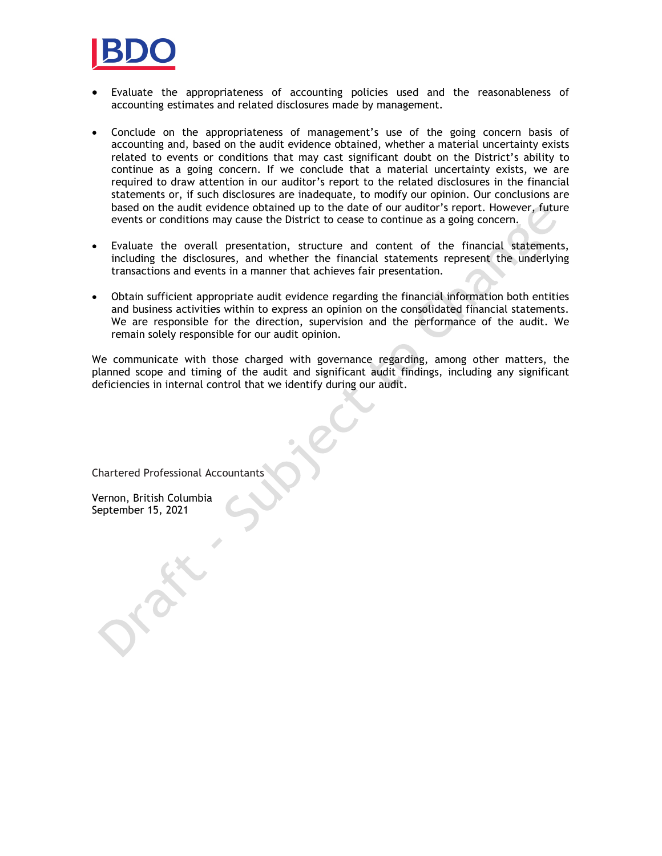

- Evaluate the appropriateness of accounting policies used and the reasonableness of accounting estimates and related disclosures made by management.
- Conclude on the appropriateness of management's use of the going concern basis of accounting and, based on the audit evidence obtained, whether a material uncertainty exists related to events or conditions that may cast significant doubt on the District's ability to continue as a going concern. If we conclude that a material uncertainty exists, we are required to draw attention in our auditor's report to the related disclosures in the financial statements or, if such disclosures are inadequate, to modify our opinion. Our conclusions are based on the audit evidence obtained up to the date of our auditor's report. However, future events or conditions may cause the District to cease to continue as a going concern.
- Evaluate the overall presentation, structure and content of the financial statements, including the disclosures, and whether the financial statements represent the underlying transactions and events in a manner that achieves fair presentation.
- Obtain sufficient appropriate audit evidence regarding the financial information both entities and business activities within to express an opinion on the consolidated financial statements. We are responsible for the direction, supervision and the performance of the audit. We remain solely responsible for our audit opinion.

We communicate with those charged with governance regarding, among other matters, the planned scope and timing of the audit and significant audit findings, including any significant deficiencies in internal control that we identify during our audit.

Chartered Professional Accountants

Vernon, British Columbia September 15, 2021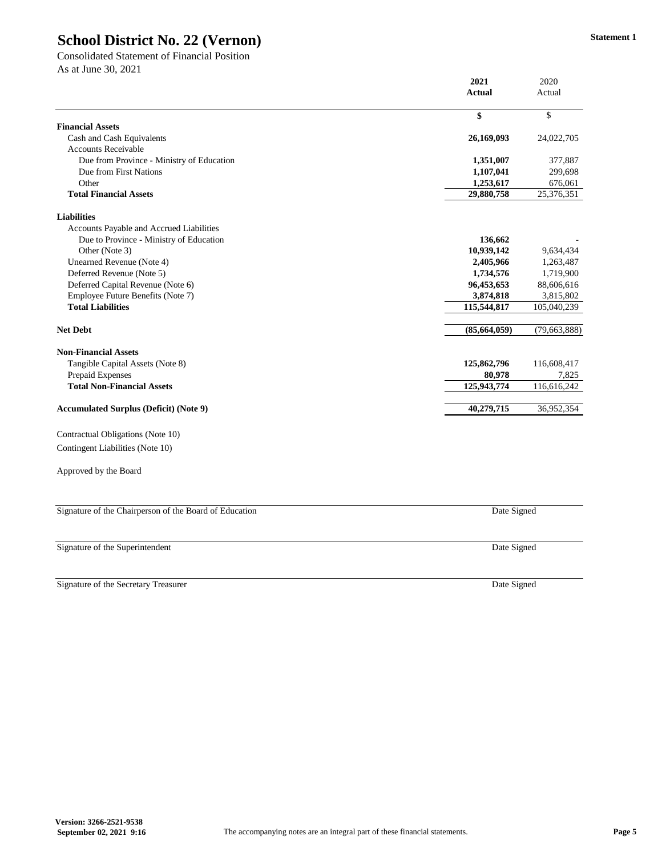**Statement 1**

|                                                        | 2021           | 2020                      |
|--------------------------------------------------------|----------------|---------------------------|
|                                                        | <b>Actual</b>  | Actual                    |
|                                                        | \$             | $\boldsymbol{\mathsf{S}}$ |
| <b>Financial Assets</b>                                |                |                           |
| Cash and Cash Equivalents                              | 26,169,093     | 24,022,705                |
| <b>Accounts Receivable</b>                             |                |                           |
| Due from Province - Ministry of Education              | 1,351,007      | 377,887                   |
| Due from First Nations                                 | 1,107,041      | 299,698                   |
| Other                                                  | 1,253,617      | 676,061                   |
| <b>Total Financial Assets</b>                          | 29,880,758     | 25,376,351                |
| <b>Liabilities</b>                                     |                |                           |
| Accounts Payable and Accrued Liabilities               |                |                           |
| Due to Province - Ministry of Education                | 136,662        |                           |
| Other (Note 3)                                         | 10,939,142     | 9,634,434                 |
| Unearned Revenue (Note 4)                              | 2,405,966      | 1,263,487                 |
| Deferred Revenue (Note 5)                              | 1,734,576      | 1,719,900                 |
| Deferred Capital Revenue (Note 6)                      | 96,453,653     | 88,606,616                |
| Employee Future Benefits (Note 7)                      | 3,874,818      | 3,815,802                 |
| <b>Total Liabilities</b>                               | 115,544,817    | 105,040,239               |
| <b>Net Debt</b>                                        | (85, 664, 059) | (79, 663, 888)            |
| <b>Non-Financial Assets</b>                            |                |                           |
| Tangible Capital Assets (Note 8)                       | 125,862,796    | 116,608,417               |
| Prepaid Expenses                                       | 80,978         | 7,825                     |
| <b>Total Non-Financial Assets</b>                      | 125,943,774    | 116,616,242               |
| <b>Accumulated Surplus (Deficit) (Note 9)</b>          | 40,279,715     | 36,952,354                |
| Contractual Obligations (Note 10)                      |                |                           |
| Contingent Liabilities (Note 10)                       |                |                           |
| Approved by the Board                                  |                |                           |
| Signature of the Chairperson of the Board of Education | Date Signed    |                           |

Signature of the Superintendent

Signature of the Secretary Treasurer

### **School District No. 22 (Vernon)**

Consolidated Statement of Financial Position As at June 30, 2021

Date Signed

**Version: 3266-2521-9538**

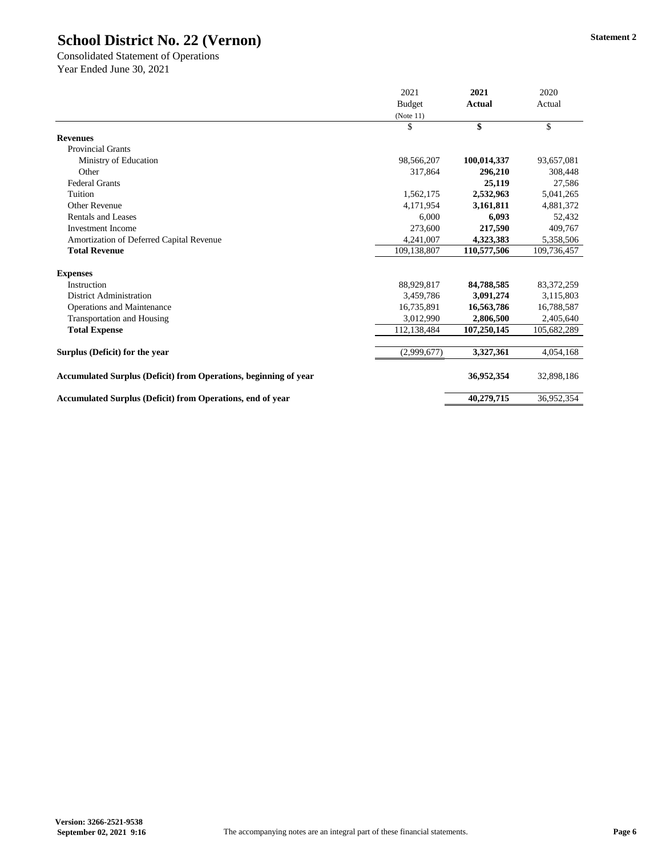|                                                                         | 2021          | 2021          | 2020         |
|-------------------------------------------------------------------------|---------------|---------------|--------------|
|                                                                         | <b>Budget</b> | <b>Actual</b> | Actual       |
|                                                                         | (Note 11)     |               |              |
|                                                                         | \$            | \$            | \$           |
| <b>Revenues</b>                                                         |               |               |              |
| <b>Provincial Grants</b>                                                |               |               |              |
| Ministry of Education                                                   | 98,566,207    | 100,014,337   | 93,657,081   |
| Other                                                                   | 317,864       | 296,210       | 308,448      |
| <b>Federal Grants</b>                                                   |               | 25,119        | 27,586       |
| Tuition                                                                 | 1,562,175     | 2,532,963     | 5,041,265    |
| <b>Other Revenue</b>                                                    | 4,171,954     | 3,161,811     | 4,881,372    |
| <b>Rentals and Leases</b>                                               | 6,000         | 6,093         | 52,432       |
| <b>Investment Income</b>                                                | 273,600       | 217,590       | 409,767      |
| Amortization of Deferred Capital Revenue                                | 4,241,007     | 4,323,383     | 5,358,506    |
| <b>Total Revenue</b>                                                    | 109,138,807   | 110,577,506   | 109,736,457  |
| <b>Expenses</b>                                                         |               |               |              |
| Instruction                                                             | 88,929,817    | 84,788,585    | 83, 372, 259 |
| <b>District Administration</b>                                          | 3,459,786     | 3,091,274     | 3,115,803    |
| <b>Operations and Maintenance</b>                                       | 16,735,891    | 16,563,786    | 16,788,587   |
| <b>Transportation and Housing</b>                                       | 3,012,990     | 2,806,500     | 2,405,640    |
| <b>Total Expense</b>                                                    | 112,138,484   | 107,250,145   | 105,682,289  |
| Surplus (Deficit) for the year                                          | (2,999,677)   | 3,327,361     | 4,054,168    |
| <b>Accumulated Surplus (Deficit) from Operations, beginning of year</b> |               | 36,952,354    | 32,898,186   |
| <b>Accumulated Surplus (Deficit) from Operations, end of year</b>       |               | 40,279,715    | 36,952,354   |

Consolidated Statement of Operations Year Ended June 30, 2021

**Version: 3266-2521-9538**

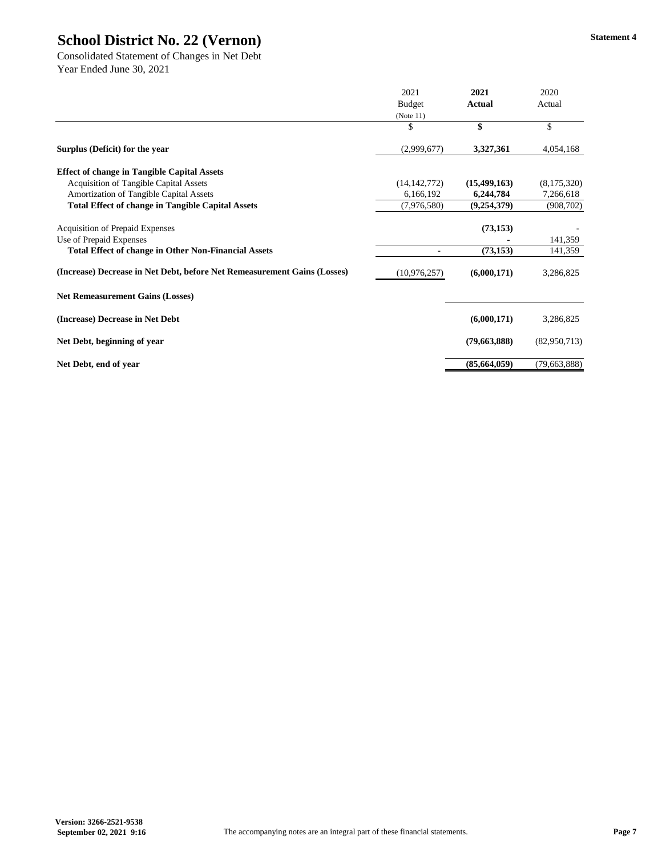|                                                                          | 2021           | 2021           | 2020           |
|--------------------------------------------------------------------------|----------------|----------------|----------------|
|                                                                          | <b>Budget</b>  | <b>Actual</b>  | Actual         |
|                                                                          | (Note 11)      |                |                |
|                                                                          | \$             | \$             | \$             |
| Surplus (Deficit) for the year                                           | (2,999,677)    | 3,327,361      | 4,054,168      |
| <b>Effect of change in Tangible Capital Assets</b>                       |                |                |                |
| <b>Acquisition of Tangible Capital Assets</b>                            | (14, 142, 772) | (15, 499, 163) | (8,175,320)    |
| <b>Amortization of Tangible Capital Assets</b>                           | 6,166,192      | 6,244,784      | 7,266,618      |
| <b>Total Effect of change in Tangible Capital Assets</b>                 | (7,976,580)    | (9,254,379)    | (908, 702)     |
| <b>Acquisition of Prepaid Expenses</b>                                   |                | (73, 153)      |                |
| Use of Prepaid Expenses                                                  |                |                | 141,359        |
| <b>Total Effect of change in Other Non-Financial Assets</b>              |                | (73, 153)      | 141,359        |
| (Increase) Decrease in Net Debt, before Net Remeasurement Gains (Losses) | (10, 976, 257) | (6,000,171)    | 3,286,825      |
| <b>Net Remeasurement Gains (Losses)</b>                                  |                |                |                |
| (Increase) Decrease in Net Debt                                          |                | (6,000,171)    | 3,286,825      |
| Net Debt, beginning of year                                              |                | (79,663,888)   | (82,950,713)   |
| Net Debt, end of year                                                    |                | (85,664,059)   | (79, 663, 888) |

Consolidated Statement of Changes in Net Debt Year Ended June 30, 2021

**Version: 3266-2521-9538**

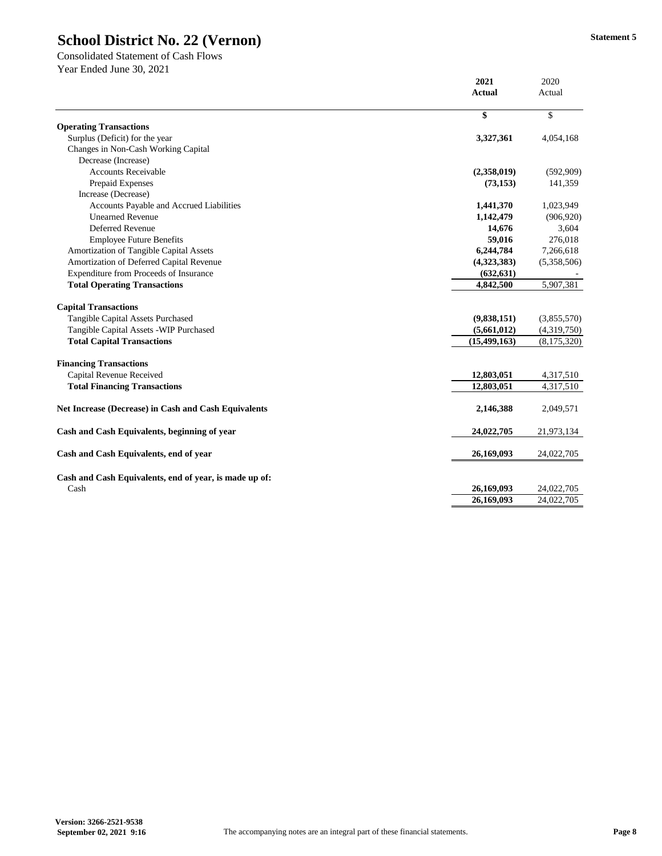|                                                             | 2021           | 2020          |
|-------------------------------------------------------------|----------------|---------------|
|                                                             | <b>Actual</b>  | Actual        |
|                                                             | \$             | \$            |
| <b>Operating Transactions</b>                               |                |               |
| Surplus (Deficit) for the year                              | 3,327,361      | 4,054,168     |
| Changes in Non-Cash Working Capital                         |                |               |
| Decrease (Increase)                                         |                |               |
| <b>Accounts Receivable</b>                                  | (2,358,019)    | (592,909)     |
| Prepaid Expenses                                            | (73, 153)      | 141,359       |
| Increase (Decrease)                                         |                |               |
| <b>Accounts Payable and Accrued Liabilities</b>             | 1,441,370      | 1,023,949     |
| <b>Unearned Revenue</b>                                     | 1,142,479      | (906, 920)    |
| <b>Deferred Revenue</b>                                     | 14,676         | 3,604         |
| <b>Employee Future Benefits</b>                             | 59,016         | 276,018       |
| Amortization of Tangible Capital Assets                     | 6,244,784      | 7,266,618     |
| Amortization of Deferred Capital Revenue                    | (4,323,383)    | (5,358,506)   |
| <b>Expenditure from Proceeds of Insurance</b>               | (632, 631)     |               |
| <b>Total Operating Transactions</b>                         | 4,842,500      | 5,907,381     |
| <b>Capital Transactions</b>                                 |                |               |
| Tangible Capital Assets Purchased                           | (9,838,151)    | (3,855,570)   |
| Tangible Capital Assets - WIP Purchased                     | (5,661,012)    | (4,319,750)   |
| <b>Total Capital Transactions</b>                           | (15, 499, 163) | (8, 175, 320) |
| <b>Financing Transactions</b>                               |                |               |
| Capital Revenue Received                                    | 12,803,051     | 4,317,510     |
| <b>Total Financing Transactions</b>                         | 12,803,051     | 4,317,510     |
| <b>Net Increase (Decrease) in Cash and Cash Equivalents</b> | 2,146,388      | 2,049,571     |
| Cash and Cash Equivalents, beginning of year                | 24,022,705     | 21,973,134    |
| Cash and Cash Equivalents, end of year                      | 26,169,093     | 24,022,705    |
| Cash and Cash Equivalents, end of year, is made up of:      |                |               |
| Cash                                                        | 26,169,093     | 24,022,705    |
|                                                             | 26,169,093     | 24,022,705    |

Consolidated Statement of Cash Flows Year Ended June 30, 2021

**Version: 3266-2521-9538**

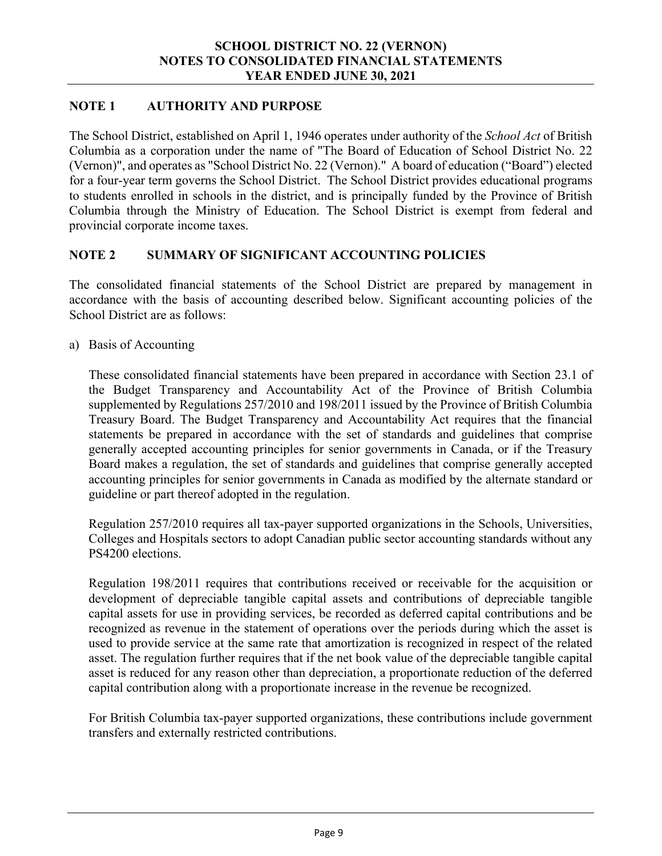#### **NOTE 1 AUTHORITY AND PURPOSE**

The School District, established on April 1, 1946 operates under authority of the *School Act* of British Columbia as a corporation under the name of "The Board of Education of School District No. 22 (Vernon)", and operates as "School District No. 22 (Vernon)." A board of education ("Board") elected for a four-year term governs the School District. The School District provides educational programs to students enrolled in schools in the district, and is principally funded by the Province of British Columbia through the Ministry of Education. The School District is exempt from federal and provincial corporate income taxes.

#### **NOTE 2 SUMMARY OF SIGNIFICANT ACCOUNTING POLICIES**

The consolidated financial statements of the School District are prepared by management in accordance with the basis of accounting described below. Significant accounting policies of the School District are as follows:

a) Basis of Accounting

These consolidated financial statements have been prepared in accordance with Section 23.1 of the Budget Transparency and Accountability Act of the Province of British Columbia supplemented by Regulations 257/2010 and 198/2011 issued by the Province of British Columbia Treasury Board. The Budget Transparency and Accountability Act requires that the financial statements be prepared in accordance with the set of standards and guidelines that comprise generally accepted accounting principles for senior governments in Canada, or if the Treasury Board makes a regulation, the set of standards and guidelines that comprise generally accepted accounting principles for senior governments in Canada as modified by the alternate standard or guideline or part thereof adopted in the regulation.

Regulation 257/2010 requires all tax-payer supported organizations in the Schools, Universities, Colleges and Hospitals sectors to adopt Canadian public sector accounting standards without any PS4200 elections.

Regulation 198/2011 requires that contributions received or receivable for the acquisition or development of depreciable tangible capital assets and contributions of depreciable tangible capital assets for use in providing services, be recorded as deferred capital contributions and be recognized as revenue in the statement of operations over the periods during which the asset is used to provide service at the same rate that amortization is recognized in respect of the related asset. The regulation further requires that if the net book value of the depreciable tangible capital asset is reduced for any reason other than depreciation, a proportionate reduction of the deferred capital contribution along with a proportionate increase in the revenue be recognized.

For British Columbia tax-payer supported organizations, these contributions include government transfers and externally restricted contributions.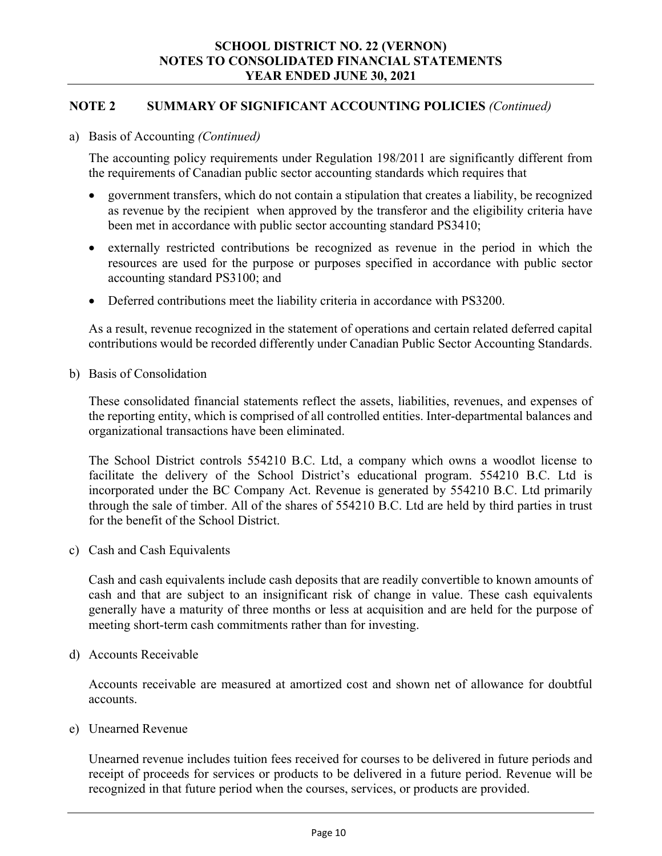#### **NOTE 2 SUMMARY OF SIGNIFICANT ACCOUNTING POLICIES** *(Continued)*

#### a) Basis of Accounting *(Continued)*

The accounting policy requirements under Regulation 198/2011 are significantly different from the requirements of Canadian public sector accounting standards which requires that

- government transfers, which do not contain a stipulation that creates a liability, be recognized as revenue by the recipient when approved by the transferor and the eligibility criteria have been met in accordance with public sector accounting standard PS3410;
- externally restricted contributions be recognized as revenue in the period in which the resources are used for the purpose or purposes specified in accordance with public sector accounting standard PS3100; and
- Deferred contributions meet the liability criteria in accordance with PS3200.

As a result, revenue recognized in the statement of operations and certain related deferred capital contributions would be recorded differently under Canadian Public Sector Accounting Standards.

b) Basis of Consolidation

These consolidated financial statements reflect the assets, liabilities, revenues, and expenses of the reporting entity, which is comprised of all controlled entities. Inter-departmental balances and organizational transactions have been eliminated.

The School District controls 554210 B.C. Ltd, a company which owns a woodlot license to facilitate the delivery of the School District's educational program. 554210 B.C. Ltd is incorporated under the BC Company Act. Revenue is generated by 554210 B.C. Ltd primarily through the sale of timber. All of the shares of 554210 B.C. Ltd are held by third parties in trust for the benefit of the School District.

c) Cash and Cash Equivalents

Cash and cash equivalents include cash deposits that are readily convertible to known amounts of cash and that are subject to an insignificant risk of change in value. These cash equivalents generally have a maturity of three months or less at acquisition and are held for the purpose of meeting short-term cash commitments rather than for investing.

d) Accounts Receivable

 Accounts receivable are measured at amortized cost and shown net of allowance for doubtful accounts.

e) Unearned Revenue

Unearned revenue includes tuition fees received for courses to be delivered in future periods and receipt of proceeds for services or products to be delivered in a future period. Revenue will be recognized in that future period when the courses, services, or products are provided.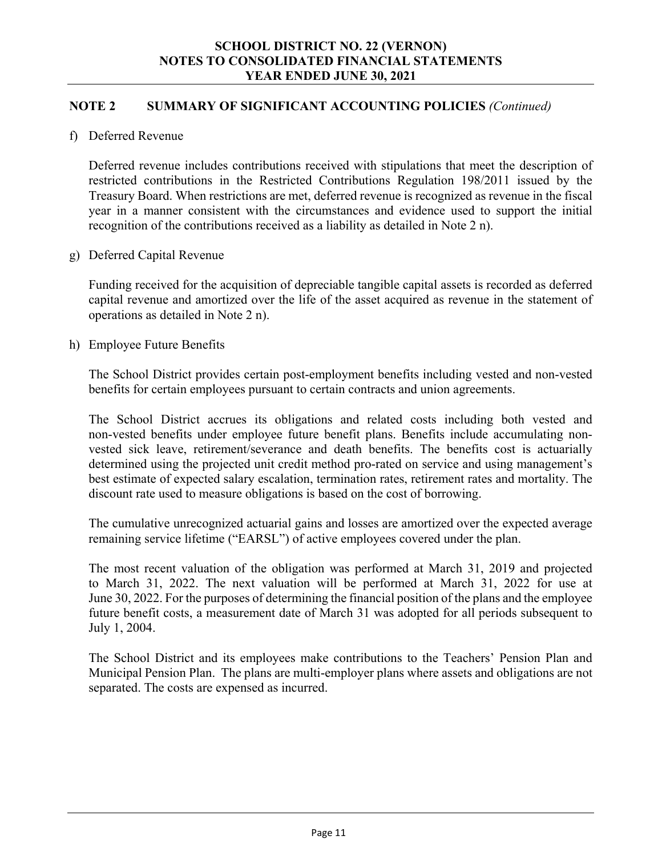#### **NOTE 2 SUMMARY OF SIGNIFICANT ACCOUNTING POLICIES** *(Continued)*

f) Deferred Revenue

Deferred revenue includes contributions received with stipulations that meet the description of restricted contributions in the Restricted Contributions Regulation 198/2011 issued by the Treasury Board. When restrictions are met, deferred revenue is recognized as revenue in the fiscal year in a manner consistent with the circumstances and evidence used to support the initial recognition of the contributions received as a liability as detailed in Note 2 n).

#### g) Deferred Capital Revenue

Funding received for the acquisition of depreciable tangible capital assets is recorded as deferred capital revenue and amortized over the life of the asset acquired as revenue in the statement of operations as detailed in Note 2 n).

#### h) Employee Future Benefits

The School District provides certain post-employment benefits including vested and non-vested benefits for certain employees pursuant to certain contracts and union agreements.

The School District accrues its obligations and related costs including both vested and non-vested benefits under employee future benefit plans. Benefits include accumulating nonvested sick leave, retirement/severance and death benefits. The benefits cost is actuarially determined using the projected unit credit method pro-rated on service and using management's best estimate of expected salary escalation, termination rates, retirement rates and mortality. The discount rate used to measure obligations is based on the cost of borrowing.

The cumulative unrecognized actuarial gains and losses are amortized over the expected average remaining service lifetime ("EARSL") of active employees covered under the plan.

The most recent valuation of the obligation was performed at March 31, 2019 and projected to March 31, 2022. The next valuation will be performed at March 31, 2022 for use at June 30, 2022. For the purposes of determining the financial position of the plans and the employee future benefit costs, a measurement date of March 31 was adopted for all periods subsequent to July 1, 2004.

The School District and its employees make contributions to the Teachers' Pension Plan and Municipal Pension Plan. The plans are multi-employer plans where assets and obligations are not separated. The costs are expensed as incurred.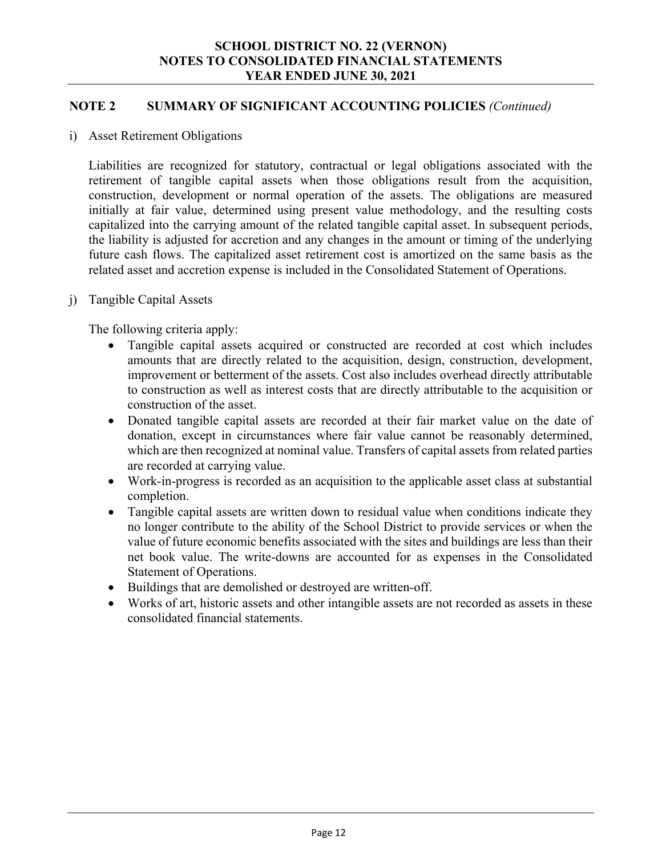#### **NOTE 2 SUMMARY OF SIGNIFICANT ACCOUNTING POLICIES** *(Continued)*

i) Asset Retirement Obligations

Liabilities are recognized for statutory, contractual or legal obligations associated with the retirement of tangible capital assets when those obligations result from the acquisition, construction, development or normal operation of the assets. The obligations are measured initially at fair value, determined using present value methodology, and the resulting costs capitalized into the carrying amount of the related tangible capital asset. In subsequent periods, the liability is adjusted for accretion and any changes in the amount or timing of the underlying future cash flows. The capitalized asset retirement cost is amortized on the same basis as the related asset and accretion expense is included in the Consolidated Statement of Operations.

#### j) Tangible Capital Assets

The following criteria apply:

- Tangible capital assets acquired or constructed are recorded at cost which includes amounts that are directly related to the acquisition, design, construction, development, improvement or betterment of the assets. Cost also includes overhead directly attributable to construction as well as interest costs that are directly attributable to the acquisition or construction of the asset.
- Donated tangible capital assets are recorded at their fair market value on the date of donation, except in circumstances where fair value cannot be reasonably determined, which are then recognized at nominal value. Transfers of capital assets from related parties are recorded at carrying value.
- Work-in-progress is recorded as an acquisition to the applicable asset class at substantial completion.
- Tangible capital assets are written down to residual value when conditions indicate they no longer contribute to the ability of the School District to provide services or when the value of future economic benefits associated with the sites and buildings are less than their net book value. The write-downs are accounted for as expenses in the Consolidated Statement of Operations.
- Buildings that are demolished or destroyed are written-off.
- Works of art, historic assets and other intangible assets are not recorded as assets in these consolidated financial statements.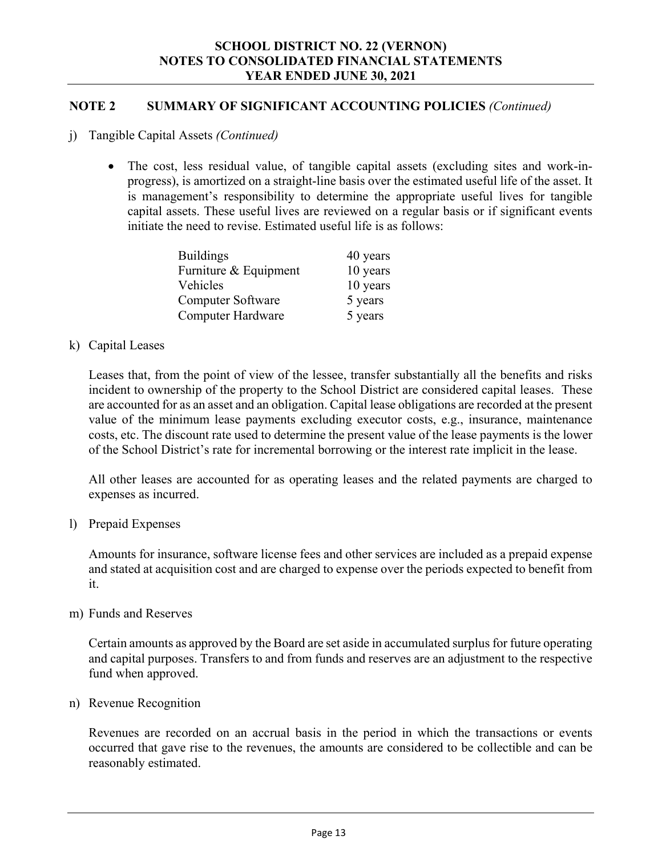#### **NOTE 2 SUMMARY OF SIGNIFICANT ACCOUNTING POLICIES** *(Continued)*

#### j) Tangible Capital Assets *(Continued)*

 The cost, less residual value, of tangible capital assets (excluding sites and work-inprogress), is amortized on a straight-line basis over the estimated useful life of the asset. It is management's responsibility to determine the appropriate useful lives for tangible capital assets. These useful lives are reviewed on a regular basis or if significant events initiate the need to revise. Estimated useful life is as follows:

| <b>Buildings</b>      | 40 years |
|-----------------------|----------|
| Furniture & Equipment | 10 years |
| Vehicles              | 10 years |
| Computer Software     | 5 years  |
| Computer Hardware     | 5 years  |

#### k) Capital Leases

Leases that, from the point of view of the lessee, transfer substantially all the benefits and risks incident to ownership of the property to the School District are considered capital leases. These are accounted for as an asset and an obligation. Capital lease obligations are recorded at the present value of the minimum lease payments excluding executor costs, e.g., insurance, maintenance costs, etc. The discount rate used to determine the present value of the lease payments is the lower of the School District's rate for incremental borrowing or the interest rate implicit in the lease.

All other leases are accounted for as operating leases and the related payments are charged to expenses as incurred.

#### l) Prepaid Expenses

Amounts for insurance, software license fees and other services are included as a prepaid expense and stated at acquisition cost and are charged to expense over the periods expected to benefit from it.

#### m) Funds and Reserves

Certain amounts as approved by the Board are set aside in accumulated surplus for future operating and capital purposes. Transfers to and from funds and reserves are an adjustment to the respective fund when approved.

#### n) Revenue Recognition

Revenues are recorded on an accrual basis in the period in which the transactions or events occurred that gave rise to the revenues, the amounts are considered to be collectible and can be reasonably estimated.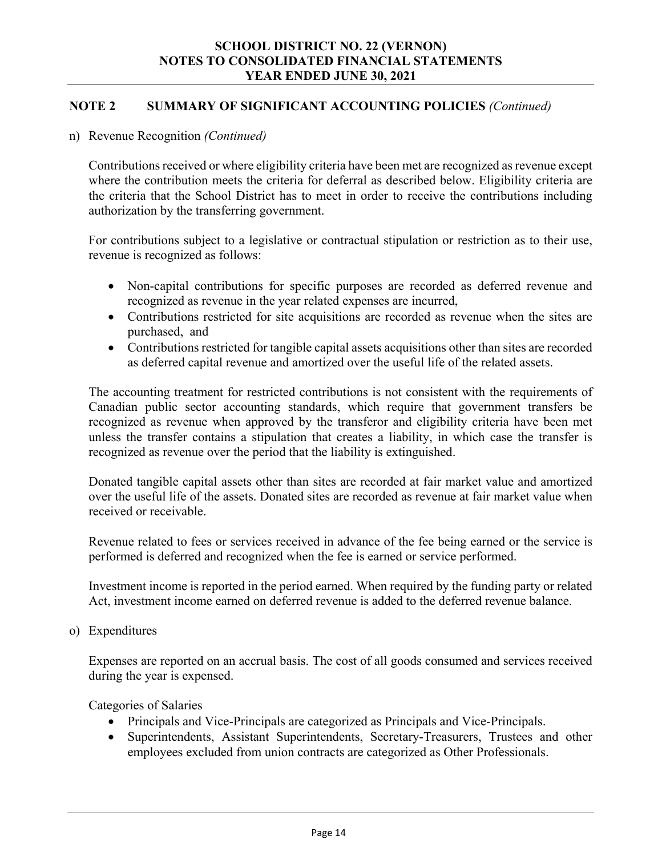#### **NOTE 2 SUMMARY OF SIGNIFICANT ACCOUNTING POLICIES** *(Continued)*

#### n) Revenue Recognition *(Continued)*

Contributions received or where eligibility criteria have been met are recognized as revenue except where the contribution meets the criteria for deferral as described below. Eligibility criteria are the criteria that the School District has to meet in order to receive the contributions including authorization by the transferring government.

For contributions subject to a legislative or contractual stipulation or restriction as to their use, revenue is recognized as follows:

- Non-capital contributions for specific purposes are recorded as deferred revenue and recognized as revenue in the year related expenses are incurred,
- Contributions restricted for site acquisitions are recorded as revenue when the sites are purchased, and
- Contributions restricted for tangible capital assets acquisitions other than sites are recorded as deferred capital revenue and amortized over the useful life of the related assets.

The accounting treatment for restricted contributions is not consistent with the requirements of Canadian public sector accounting standards, which require that government transfers be recognized as revenue when approved by the transferor and eligibility criteria have been met unless the transfer contains a stipulation that creates a liability, in which case the transfer is recognized as revenue over the period that the liability is extinguished.

Donated tangible capital assets other than sites are recorded at fair market value and amortized over the useful life of the assets. Donated sites are recorded as revenue at fair market value when received or receivable.

Revenue related to fees or services received in advance of the fee being earned or the service is performed is deferred and recognized when the fee is earned or service performed.

Investment income is reported in the period earned. When required by the funding party or related Act, investment income earned on deferred revenue is added to the deferred revenue balance.

o) Expenditures

Expenses are reported on an accrual basis. The cost of all goods consumed and services received during the year is expensed.

Categories of Salaries

- Principals and Vice-Principals are categorized as Principals and Vice-Principals.
- Superintendents, Assistant Superintendents, Secretary-Treasurers, Trustees and other employees excluded from union contracts are categorized as Other Professionals.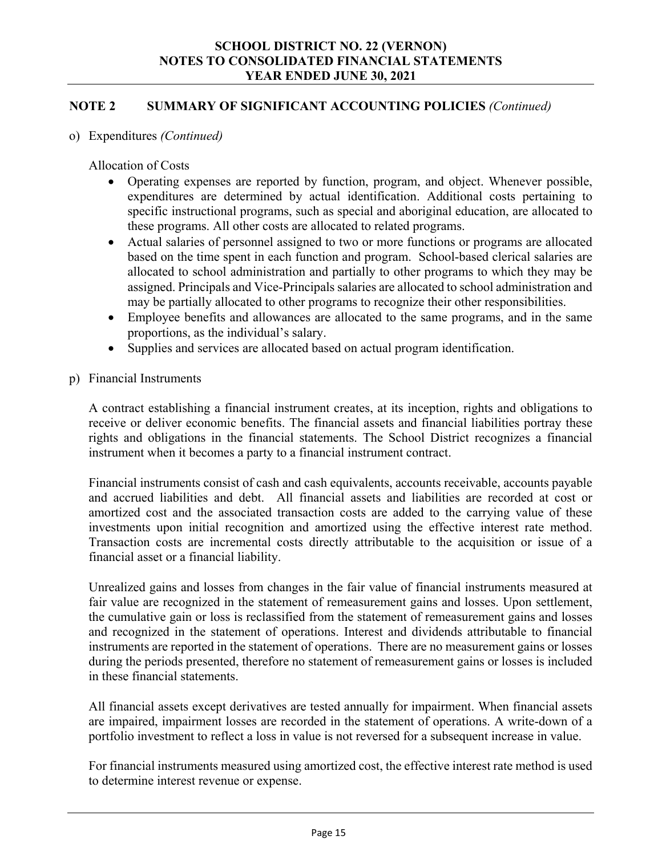#### **NOTE 2 SUMMARY OF SIGNIFICANT ACCOUNTING POLICIES** *(Continued)*

#### o) Expenditures *(Continued)*

Allocation of Costs

- Operating expenses are reported by function, program, and object. Whenever possible, expenditures are determined by actual identification. Additional costs pertaining to specific instructional programs, such as special and aboriginal education, are allocated to these programs. All other costs are allocated to related programs.
- Actual salaries of personnel assigned to two or more functions or programs are allocated based on the time spent in each function and program. School-based clerical salaries are allocated to school administration and partially to other programs to which they may be assigned. Principals and Vice-Principals salaries are allocated to school administration and may be partially allocated to other programs to recognize their other responsibilities.
- Employee benefits and allowances are allocated to the same programs, and in the same proportions, as the individual's salary.
- Supplies and services are allocated based on actual program identification.
- p) Financial Instruments

A contract establishing a financial instrument creates, at its inception, rights and obligations to receive or deliver economic benefits. The financial assets and financial liabilities portray these rights and obligations in the financial statements. The School District recognizes a financial instrument when it becomes a party to a financial instrument contract.

Financial instruments consist of cash and cash equivalents, accounts receivable, accounts payable and accrued liabilities and debt. All financial assets and liabilities are recorded at cost or amortized cost and the associated transaction costs are added to the carrying value of these investments upon initial recognition and amortized using the effective interest rate method. Transaction costs are incremental costs directly attributable to the acquisition or issue of a financial asset or a financial liability.

Unrealized gains and losses from changes in the fair value of financial instruments measured at fair value are recognized in the statement of remeasurement gains and losses. Upon settlement, the cumulative gain or loss is reclassified from the statement of remeasurement gains and losses and recognized in the statement of operations. Interest and dividends attributable to financial instruments are reported in the statement of operations. There are no measurement gains or losses during the periods presented, therefore no statement of remeasurement gains or losses is included in these financial statements.

All financial assets except derivatives are tested annually for impairment. When financial assets are impaired, impairment losses are recorded in the statement of operations. A write-down of a portfolio investment to reflect a loss in value is not reversed for a subsequent increase in value.

For financial instruments measured using amortized cost, the effective interest rate method is used to determine interest revenue or expense.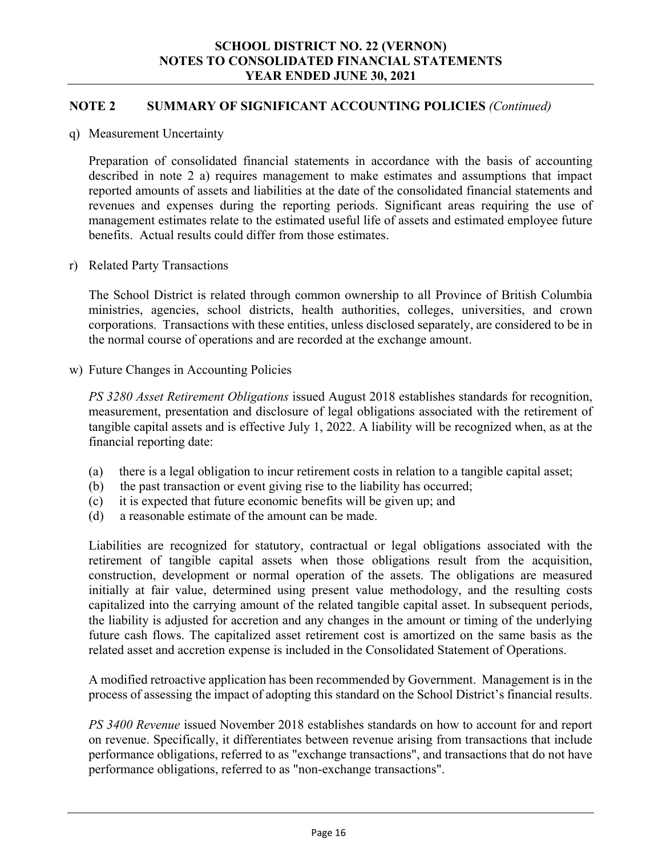#### **NOTE 2 SUMMARY OF SIGNIFICANT ACCOUNTING POLICIES** *(Continued)*

q) Measurement Uncertainty

Preparation of consolidated financial statements in accordance with the basis of accounting described in note 2 a) requires management to make estimates and assumptions that impact reported amounts of assets and liabilities at the date of the consolidated financial statements and revenues and expenses during the reporting periods. Significant areas requiring the use of management estimates relate to the estimated useful life of assets and estimated employee future benefits. Actual results could differ from those estimates.

r) Related Party Transactions

The School District is related through common ownership to all Province of British Columbia ministries, agencies, school districts, health authorities, colleges, universities, and crown corporations. Transactions with these entities, unless disclosed separately, are considered to be in the normal course of operations and are recorded at the exchange amount.

w) Future Changes in Accounting Policies

*PS 3280 Asset Retirement Obligations* issued August 2018 establishes standards for recognition, measurement, presentation and disclosure of legal obligations associated with the retirement of tangible capital assets and is effective July 1, 2022. A liability will be recognized when, as at the financial reporting date:

- (a) there is a legal obligation to incur retirement costs in relation to a tangible capital asset;
- (b) the past transaction or event giving rise to the liability has occurred;
- (c) it is expected that future economic benefits will be given up; and
- (d) a reasonable estimate of the amount can be made.

Liabilities are recognized for statutory, contractual or legal obligations associated with the retirement of tangible capital assets when those obligations result from the acquisition, construction, development or normal operation of the assets. The obligations are measured initially at fair value, determined using present value methodology, and the resulting costs capitalized into the carrying amount of the related tangible capital asset. In subsequent periods, the liability is adjusted for accretion and any changes in the amount or timing of the underlying future cash flows. The capitalized asset retirement cost is amortized on the same basis as the related asset and accretion expense is included in the Consolidated Statement of Operations.

A modified retroactive application has been recommended by Government. Management is in the process of assessing the impact of adopting this standard on the School District's financial results.

*PS 3400 Revenue* issued November 2018 establishes standards on how to account for and report on revenue. Specifically, it differentiates between revenue arising from transactions that include performance obligations, referred to as "exchange transactions", and transactions that do not have performance obligations, referred to as "non-exchange transactions".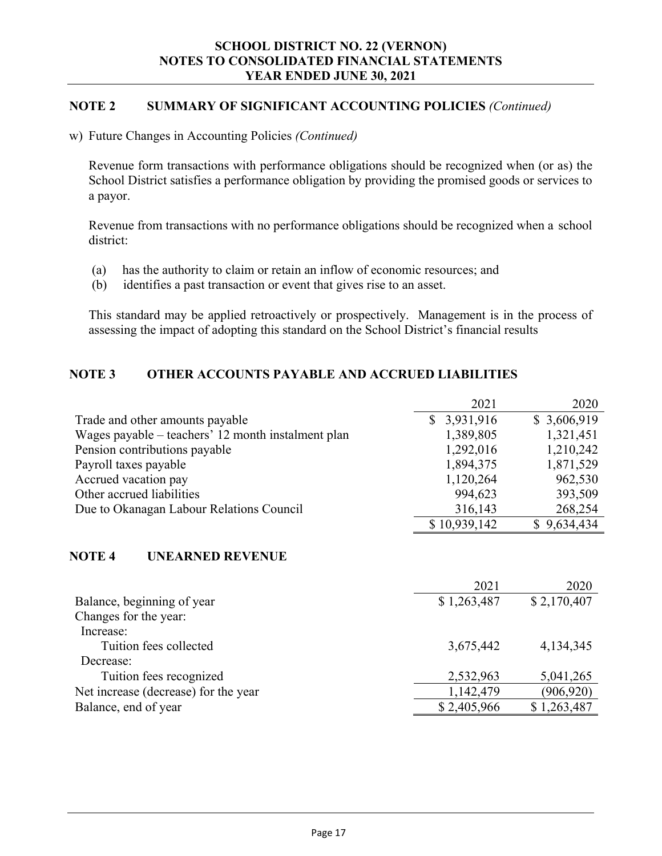#### **NOTE 2 SUMMARY OF SIGNIFICANT ACCOUNTING POLICIES** *(Continued)*

#### w) Future Changes in Accounting Policies *(Continued)*

Revenue form transactions with performance obligations should be recognized when (or as) the School District satisfies a performance obligation by providing the promised goods or services to a payor.

Revenue from transactions with no performance obligations should be recognized when a school district:

- (a) has the authority to claim or retain an inflow of economic resources; and
- (b) identifies a past transaction or event that gives rise to an asset.

This standard may be applied retroactively or prospectively. Management is in the process of assessing the impact of adopting this standard on the School District's financial results

#### **NOTE 3 OTHER ACCOUNTS PAYABLE AND ACCRUED LIABILITIES**

|                                                    | 2021         | 2020        |
|----------------------------------------------------|--------------|-------------|
| Trade and other amounts payable                    | \$3,931,916  | \$3,606,919 |
| Wages payable – teachers' 12 month instalment plan | 1,389,805    | 1,321,451   |
| Pension contributions payable                      | 1,292,016    | 1,210,242   |
| Payroll taxes payable                              | 1,894,375    | 1,871,529   |
| Accrued vacation pay                               | 1,120,264    | 962,530     |
| Other accrued liabilities                          | 994,623      | 393,509     |
| Due to Okanagan Labour Relations Council           | 316,143      | 268,254     |
|                                                    | \$10,939,142 | \$9,634,434 |

#### **NOTE 4 UNEARNED REVENUE**

|                                      | 2021        | 2020        |
|--------------------------------------|-------------|-------------|
| Balance, beginning of year           | \$1,263,487 | \$2,170,407 |
| Changes for the year:                |             |             |
| Increase:                            |             |             |
| Tuition fees collected               | 3,675,442   | 4, 134, 345 |
| Decrease:                            |             |             |
| Tuition fees recognized              | 2,532,963   | 5,041,265   |
| Net increase (decrease) for the year | 1,142,479   | (906, 920)  |
| Balance, end of year                 | \$2,405,966 | \$1,263,487 |
|                                      |             |             |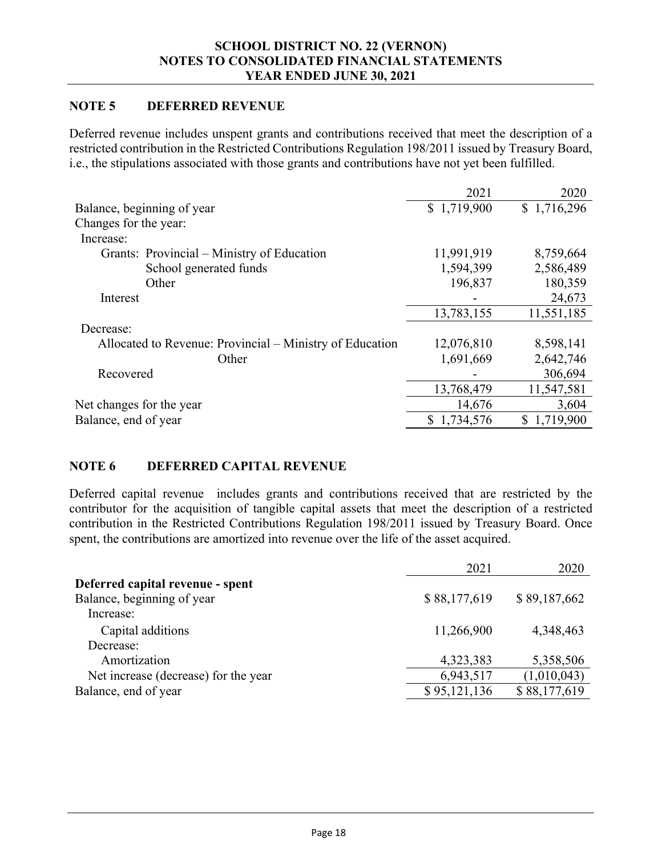#### **NOTE 5 DEFERRED REVENUE**

Deferred revenue includes unspent grants and contributions received that meet the description of a restricted contribution in the Restricted Contributions Regulation 198/2011 issued by Treasury Board, i.e., the stipulations associated with those grants and contributions have not yet been fulfilled.

|                                                          | 2021        | 2020        |
|----------------------------------------------------------|-------------|-------------|
| Balance, beginning of year                               | \$1,719,900 | \$1,716,296 |
| Changes for the year:                                    |             |             |
| Increase:                                                |             |             |
| Grants: Provincial – Ministry of Education               | 11,991,919  | 8,759,664   |
| School generated funds                                   | 1,594,399   | 2,586,489   |
| Other                                                    | 196,837     | 180,359     |
| Interest                                                 |             | 24,673      |
|                                                          | 13,783,155  | 11,551,185  |
| Decrease:                                                |             |             |
| Allocated to Revenue: Provincial – Ministry of Education | 12,076,810  | 8,598,141   |
| Other                                                    | 1,691,669   | 2,642,746   |
| Recovered                                                |             | 306,694     |
|                                                          | 13,768,479  | 11,547,581  |
| Net changes for the year                                 | 14,676      | 3,604       |
| Balance, end of year                                     | \$1,734,576 | \$1,719,900 |
|                                                          |             |             |

#### **NOTE 6 DEFERRED CAPITAL REVENUE**

Deferred capital revenue includes grants and contributions received that are restricted by the contributor for the acquisition of tangible capital assets that meet the description of a restricted contribution in the Restricted Contributions Regulation 198/2011 issued by Treasury Board. Once spent, the contributions are amortized into revenue over the life of the asset acquired.

|                                      | 2021         | 2020         |
|--------------------------------------|--------------|--------------|
| Deferred capital revenue - spent     |              |              |
| Balance, beginning of year           | \$88,177,619 | \$89,187,662 |
| Increase:                            |              |              |
| Capital additions                    | 11,266,900   | 4,348,463    |
| Decrease:                            |              |              |
| Amortization                         | 4,323,383    | 5,358,506    |
| Net increase (decrease) for the year | 6,943,517    | (1,010,043)  |
| Balance, end of year                 | \$95,121,136 | \$88,177,619 |
|                                      |              |              |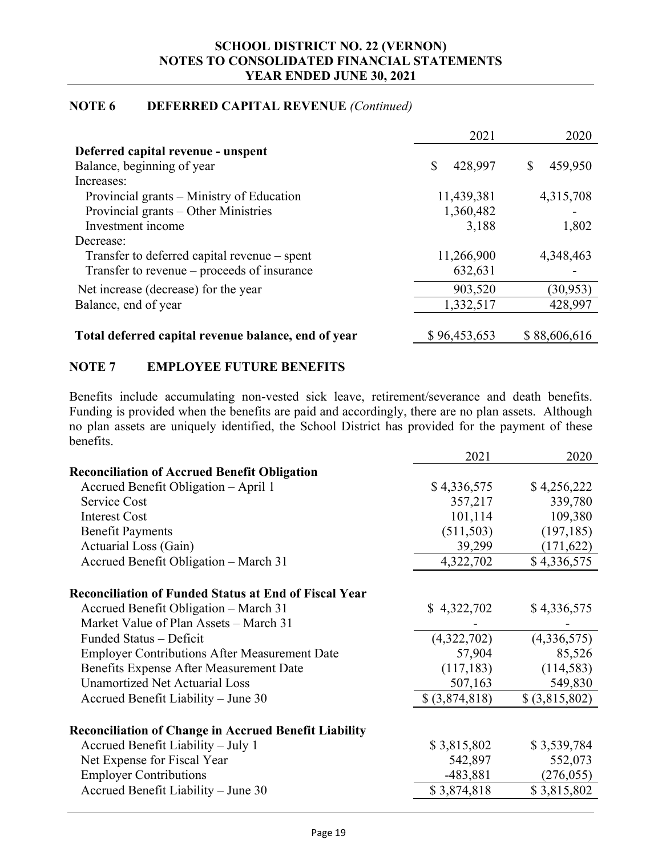### **NOTE 6 DEFERRED CAPITAL REVENUE** *(Continued)*

|                                                     | 2021          | 2020         |
|-----------------------------------------------------|---------------|--------------|
| Deferred capital revenue - unspent                  |               |              |
| Balance, beginning of year                          | \$<br>428,997 | 459,950<br>S |
| Increases:                                          |               |              |
| Provincial grants – Ministry of Education           | 11,439,381    | 4,315,708    |
| Provincial grants – Other Ministries                | 1,360,482     |              |
| Investment income                                   | 3,188         | 1,802        |
| Decrease:                                           |               |              |
| Transfer to deferred capital revenue – spent        | 11,266,900    | 4,348,463    |
| Transfer to revenue – proceeds of insurance         | 632,631       |              |
| Net increase (decrease) for the year                | 903,520       | (30, 953)    |
| Balance, end of year                                | 1,332,517     | 428,997      |
| Total deferred capital revenue balance, end of year | \$96,453,653  | \$88,606,616 |

#### **NOTE 7 EMPLOYEE FUTURE BENEFITS**

Benefits include accumulating non-vested sick leave, retirement/severance and death benefits. Funding is provided when the benefits are paid and accordingly, there are no plan assets. Although no plan assets are uniquely identified, the School District has provided for the payment of these benefits.

| <b>Reconciliation of Accrued Benefit Obligation</b><br>Accrued Benefit Obligation - April 1<br>\$4,336,575<br>\$4,256,222<br>Service Cost<br>357,217<br>339,780<br>101,114<br>109,380<br><b>Interest Cost</b><br>(197, 185)<br><b>Benefit Payments</b><br>(511, 503)<br>Actuarial Loss (Gain)<br>39,299<br>(171, 622)<br>4,322,702<br>\$4,336,575<br>Accrued Benefit Obligation - March 31<br><b>Reconciliation of Funded Status at End of Fiscal Year</b><br>Accrued Benefit Obligation – March 31<br>\$4,322,702<br>\$4,336,575<br>Market Value of Plan Assets – March 31<br>(4,322,702)<br>(4,336,575)<br>Funded Status - Deficit<br>57,904<br>85,526<br><b>Employer Contributions After Measurement Date</b><br>(117, 183)<br>(114, 583)<br>Benefits Expense After Measurement Date<br><b>Unamortized Net Actuarial Loss</b><br>507,163<br>549,830<br>\$ (3,874,818)<br>\$ (3,815,802)<br>Accrued Benefit Liability – June 30<br><b>Reconciliation of Change in Accrued Benefit Liability</b><br>\$3,815,802<br>\$3,539,784<br>Accrued Benefit Liability – July 1<br>Net Expense for Fiscal Year<br>542,897<br>552,073<br>$-483,881$<br>(276, 055)<br><b>Employer Contributions</b><br>Accrued Benefit Liability – June 30<br>\$3,874,818<br>\$3,815,802 | 2021 | 2020 |
|--------------------------------------------------------------------------------------------------------------------------------------------------------------------------------------------------------------------------------------------------------------------------------------------------------------------------------------------------------------------------------------------------------------------------------------------------------------------------------------------------------------------------------------------------------------------------------------------------------------------------------------------------------------------------------------------------------------------------------------------------------------------------------------------------------------------------------------------------------------------------------------------------------------------------------------------------------------------------------------------------------------------------------------------------------------------------------------------------------------------------------------------------------------------------------------------------------------------------------------------------------------|------|------|
|                                                                                                                                                                                                                                                                                                                                                                                                                                                                                                                                                                                                                                                                                                                                                                                                                                                                                                                                                                                                                                                                                                                                                                                                                                                              |      |      |
|                                                                                                                                                                                                                                                                                                                                                                                                                                                                                                                                                                                                                                                                                                                                                                                                                                                                                                                                                                                                                                                                                                                                                                                                                                                              |      |      |
|                                                                                                                                                                                                                                                                                                                                                                                                                                                                                                                                                                                                                                                                                                                                                                                                                                                                                                                                                                                                                                                                                                                                                                                                                                                              |      |      |
|                                                                                                                                                                                                                                                                                                                                                                                                                                                                                                                                                                                                                                                                                                                                                                                                                                                                                                                                                                                                                                                                                                                                                                                                                                                              |      |      |
|                                                                                                                                                                                                                                                                                                                                                                                                                                                                                                                                                                                                                                                                                                                                                                                                                                                                                                                                                                                                                                                                                                                                                                                                                                                              |      |      |
|                                                                                                                                                                                                                                                                                                                                                                                                                                                                                                                                                                                                                                                                                                                                                                                                                                                                                                                                                                                                                                                                                                                                                                                                                                                              |      |      |
|                                                                                                                                                                                                                                                                                                                                                                                                                                                                                                                                                                                                                                                                                                                                                                                                                                                                                                                                                                                                                                                                                                                                                                                                                                                              |      |      |
|                                                                                                                                                                                                                                                                                                                                                                                                                                                                                                                                                                                                                                                                                                                                                                                                                                                                                                                                                                                                                                                                                                                                                                                                                                                              |      |      |
|                                                                                                                                                                                                                                                                                                                                                                                                                                                                                                                                                                                                                                                                                                                                                                                                                                                                                                                                                                                                                                                                                                                                                                                                                                                              |      |      |
|                                                                                                                                                                                                                                                                                                                                                                                                                                                                                                                                                                                                                                                                                                                                                                                                                                                                                                                                                                                                                                                                                                                                                                                                                                                              |      |      |
|                                                                                                                                                                                                                                                                                                                                                                                                                                                                                                                                                                                                                                                                                                                                                                                                                                                                                                                                                                                                                                                                                                                                                                                                                                                              |      |      |
|                                                                                                                                                                                                                                                                                                                                                                                                                                                                                                                                                                                                                                                                                                                                                                                                                                                                                                                                                                                                                                                                                                                                                                                                                                                              |      |      |
|                                                                                                                                                                                                                                                                                                                                                                                                                                                                                                                                                                                                                                                                                                                                                                                                                                                                                                                                                                                                                                                                                                                                                                                                                                                              |      |      |
|                                                                                                                                                                                                                                                                                                                                                                                                                                                                                                                                                                                                                                                                                                                                                                                                                                                                                                                                                                                                                                                                                                                                                                                                                                                              |      |      |
|                                                                                                                                                                                                                                                                                                                                                                                                                                                                                                                                                                                                                                                                                                                                                                                                                                                                                                                                                                                                                                                                                                                                                                                                                                                              |      |      |
|                                                                                                                                                                                                                                                                                                                                                                                                                                                                                                                                                                                                                                                                                                                                                                                                                                                                                                                                                                                                                                                                                                                                                                                                                                                              |      |      |
|                                                                                                                                                                                                                                                                                                                                                                                                                                                                                                                                                                                                                                                                                                                                                                                                                                                                                                                                                                                                                                                                                                                                                                                                                                                              |      |      |
|                                                                                                                                                                                                                                                                                                                                                                                                                                                                                                                                                                                                                                                                                                                                                                                                                                                                                                                                                                                                                                                                                                                                                                                                                                                              |      |      |
|                                                                                                                                                                                                                                                                                                                                                                                                                                                                                                                                                                                                                                                                                                                                                                                                                                                                                                                                                                                                                                                                                                                                                                                                                                                              |      |      |
|                                                                                                                                                                                                                                                                                                                                                                                                                                                                                                                                                                                                                                                                                                                                                                                                                                                                                                                                                                                                                                                                                                                                                                                                                                                              |      |      |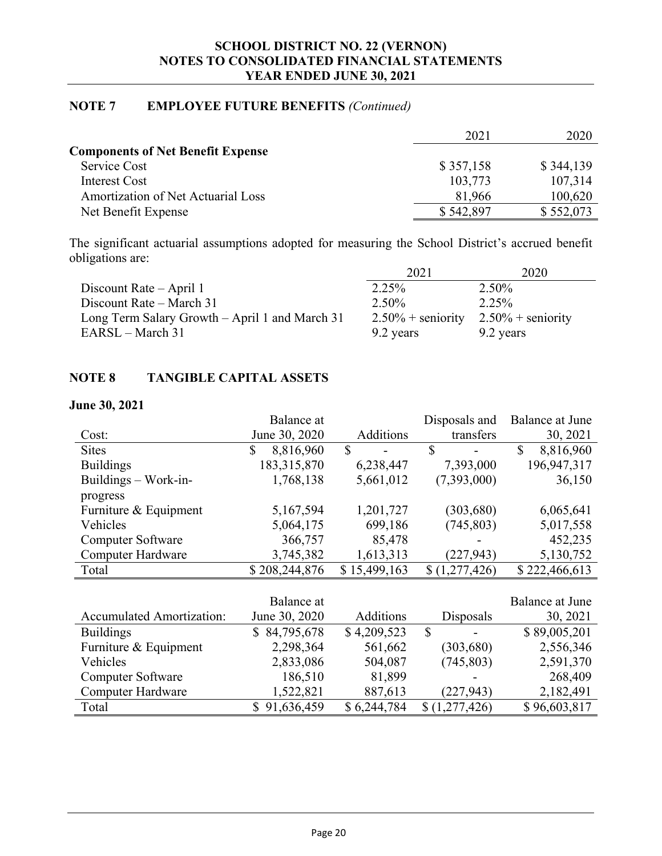#### **NOTE 7 EMPLOYEE FUTURE BENEFITS** *(Continued)*

|                                           | 2021      | 2020      |
|-------------------------------------------|-----------|-----------|
| <b>Components of Net Benefit Expense</b>  |           |           |
| Service Cost                              | \$357,158 | \$344,139 |
| Interest Cost                             | 103,773   | 107,314   |
| <b>Amortization of Net Actuarial Loss</b> | 81,966    | 100,620   |
| Net Benefit Expense                       | \$542,897 | \$552,073 |

The significant actuarial assumptions adopted for measuring the School District's accrued benefit obligations are:

|                                                | 2021                                      | 2020      |
|------------------------------------------------|-------------------------------------------|-----------|
| Discount Rate $-$ April 1                      | 2.25%                                     | 2.50%     |
| Discount Rate – March 31                       | $2.50\%$                                  | 2.25%     |
| Long Term Salary Growth – April 1 and March 31 | $2.50\%$ + seniority $2.50\%$ + seniority |           |
| EARSL – March 31                               | 9.2 years                                 | 9.2 years |

#### **NOTE 8 TANGIBLE CAPITAL ASSETS**

#### **June 30, 2021**

|                                  | Balance at      |               | Disposals and | Balance at June           |
|----------------------------------|-----------------|---------------|---------------|---------------------------|
| Cost:                            | June 30, 2020   | Additions     | transfers     | 30, 2021                  |
| <b>Sites</b>                     | 8,816,960<br>\$ | $\mathcal{S}$ | \$            | $\mathbb{S}$<br>8,816,960 |
| <b>Buildings</b>                 | 183, 315, 870   | 6,238,447     | 7,393,000     | 196,947,317               |
| Buildings – Work-in-             | 1,768,138       | 5,661,012     | (7,393,000)   | 36,150                    |
| progress                         |                 |               |               |                           |
| Furniture & Equipment            | 5,167,594       | 1,201,727     | (303,680)     | 6,065,641                 |
| Vehicles                         | 5,064,175       | 699,186       | (745, 803)    | 5,017,558                 |
| <b>Computer Software</b>         | 366,757         | 85,478        |               | 452,235                   |
| <b>Computer Hardware</b>         | 3,745,382       | 1,613,313     | (227, 943)    | 5,130,752                 |
| Total                            | \$208,244,876   | \$15,499,163  | \$(1,277,426) | \$222,466,613             |
|                                  |                 |               |               |                           |
|                                  | Balance at      |               |               | <b>Balance at June</b>    |
| <b>Accumulated Amortization:</b> | June 30, 2020   | Additions     | Disposals     | 30, 2021                  |
| <b>Buildings</b>                 | \$84,795,678    | \$4,209,523   | $\mathcal{S}$ | \$89,005,201              |
| Furniture & Equipment            | 2,298,364       | 561,662       | (303,680)     | 2,556,346                 |
| Vehicles                         | 2,833,086       | 504,087       | (745, 803)    | 2,591,370                 |
| <b>Computer Software</b>         | 186,510         | 81,899        |               | 268,409                   |
| <b>Computer Hardware</b>         | 1,522,821       | 887,613       | (227, 943)    | 2,182,491                 |

Total \$ 91,636,459 \$ 6,244,784 \$ (1,277,426) \$ 96,603,817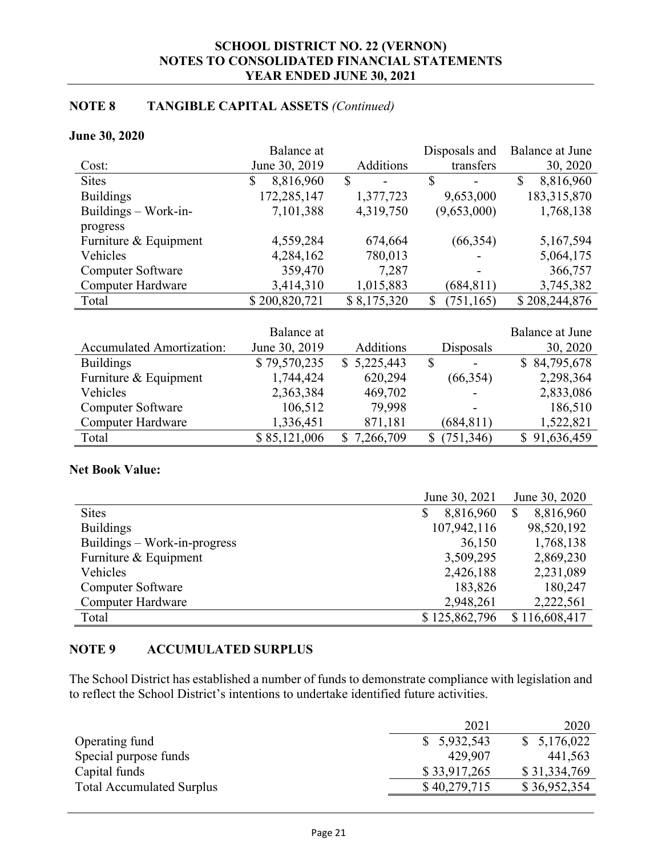#### **NOTE 8 TANGIBLE CAPITAL ASSETS** *(Continued)*

#### **June 30, 2020**

|                                  | Balance at      |             | Disposals and    | Balance at June  |
|----------------------------------|-----------------|-------------|------------------|------------------|
| Cost:                            | June 30, 2019   | Additions   | transfers        | 30, 2020         |
| <b>Sites</b>                     | \$<br>8,816,960 | \$          | \$               | \$<br>8,816,960  |
| <b>Buildings</b>                 | 172,285,147     | 1,377,723   | 9,653,000        | 183,315,870      |
| Buildings – Work-in-             | 7,101,388       | 4,319,750   | (9,653,000)      | 1,768,138        |
| progress                         |                 |             |                  |                  |
| Furniture & Equipment            | 4,559,284       | 674,664     | (66, 354)        | 5,167,594        |
| Vehicles                         | 4,284,162       | 780,013     |                  | 5,064,175        |
| <b>Computer Software</b>         | 359,470         | 7,287       |                  | 366,757          |
| <b>Computer Hardware</b>         | 3,414,310       | 1,015,883   | (684, 811)       | 3,745,382        |
| Total                            | \$200,820,721   | \$8,175,320 | (751, 165)<br>\$ | \$208,244,876    |
|                                  |                 |             |                  |                  |
|                                  | Balance at      |             |                  | Balance at June  |
| <b>Accumulated Amortization:</b> | June 30, 2019   | Additions   | Disposals        | 30, 2020         |
| <b>Buildings</b>                 | \$79,570,235    | \$5,225,443 | $\mathbb{S}$     | 84,795,678<br>S. |
| Furniture & Equipment            | 1,744,424       | 620,294     | (66, 354)        | 2,298,364        |
| Vehicles                         | 2,363,384       | 469,702     |                  | 2,833,086        |

Computer Software 106,512 79,998 - 186,510<br>
Computer Hardware 1,336,451 871,181 (684,811) 1,522,821

Total \$ 85,121,006 \$ 7,266,709 \$ (751,346) \$ 91,636,459

#### **Net Book Value:**

Computer Hardware

|                              | June 30, 2021  | June 30, 2020 |
|------------------------------|----------------|---------------|
| <b>Sites</b>                 | 8,816,960<br>S | 8,816,960     |
| <b>Buildings</b>             | 107,942,116    | 98,520,192    |
| Buildings – Work-in-progress | 36,150         | 1,768,138     |
| Furniture & Equipment        | 3,509,295      | 2,869,230     |
| Vehicles                     | 2,426,188      | 2,231,089     |
| <b>Computer Software</b>     | 183,826        | 180,247       |
| <b>Computer Hardware</b>     | 2,948,261      | 2,222,561     |
| Total                        | \$125,862,796  | \$116,608,417 |

#### **NOTE 9 ACCUMULATED SURPLUS**

The School District has established a number of funds to demonstrate compliance with legislation and to reflect the School District's intentions to undertake identified future activities.

|                                  | 2021         | 2020         |
|----------------------------------|--------------|--------------|
| Operating fund                   | \$5,932,543  | \$5,176,022  |
| Special purpose funds            | 429,907      | 441,563      |
| Capital funds                    | \$33,917,265 | \$31,334,769 |
| <b>Total Accumulated Surplus</b> | \$40,279,715 | \$36,952,354 |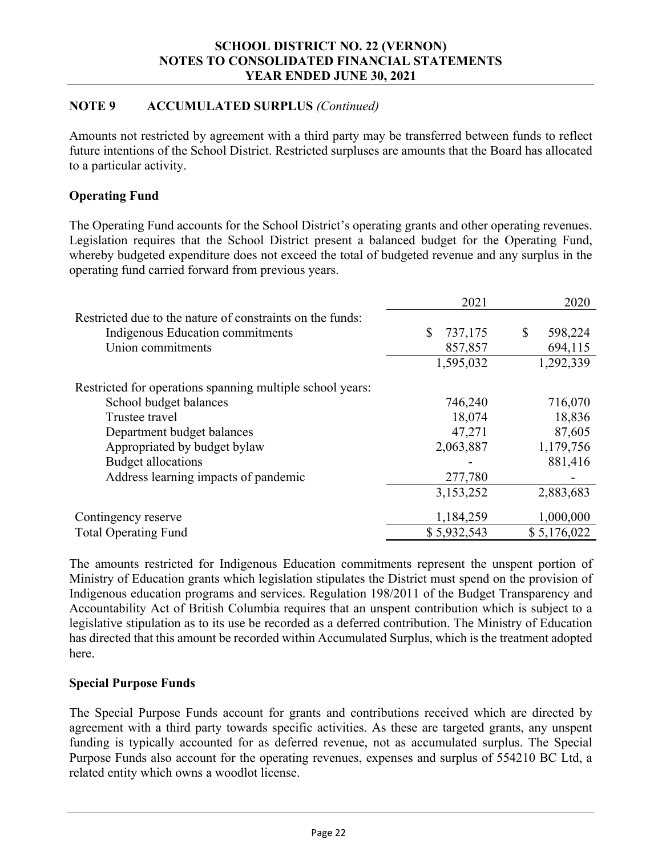#### **NOTE 9 ACCUMULATED SURPLUS** *(Continued)*

Amounts not restricted by agreement with a third party may be transferred between funds to reflect future intentions of the School District. Restricted surpluses are amounts that the Board has allocated to a particular activity.

#### **Operating Fund**

The Operating Fund accounts for the School District's operating grants and other operating revenues. Legislation requires that the School District present a balanced budget for the Operating Fund, whereby budgeted expenditure does not exceed the total of budgeted revenue and any surplus in the operating fund carried forward from previous years.

|                                                           | 2021         | 2020          |
|-----------------------------------------------------------|--------------|---------------|
| Restricted due to the nature of constraints on the funds: |              |               |
| Indigenous Education commitments                          | S<br>737,175 | \$<br>598,224 |
| Union commitments                                         | 857,857      | 694,115       |
|                                                           | 1,595,032    | 1,292,339     |
| Restricted for operations spanning multiple school years: |              |               |
| School budget balances                                    | 746,240      | 716,070       |
| Trustee travel                                            | 18,074       | 18,836        |
| Department budget balances                                | 47,271       | 87,605        |
| Appropriated by budget bylaw                              | 2,063,887    | 1,179,756     |
| <b>Budget allocations</b>                                 |              | 881,416       |
| Address learning impacts of pandemic                      | 277,780      |               |
|                                                           | 3,153,252    | 2,883,683     |
| Contingency reserve                                       | 1,184,259    | 1,000,000     |
| <b>Total Operating Fund</b>                               | \$5,932,543  | \$5,176,022   |

The amounts restricted for Indigenous Education commitments represent the unspent portion of Ministry of Education grants which legislation stipulates the District must spend on the provision of Indigenous education programs and services. Regulation 198/2011 of the Budget Transparency and Accountability Act of British Columbia requires that an unspent contribution which is subject to a legislative stipulation as to its use be recorded as a deferred contribution. The Ministry of Education has directed that this amount be recorded within Accumulated Surplus, which is the treatment adopted here.

#### **Special Purpose Funds**

The Special Purpose Funds account for grants and contributions received which are directed by agreement with a third party towards specific activities. As these are targeted grants, any unspent funding is typically accounted for as deferred revenue, not as accumulated surplus. The Special Purpose Funds also account for the operating revenues, expenses and surplus of 554210 BC Ltd, a related entity which owns a woodlot license.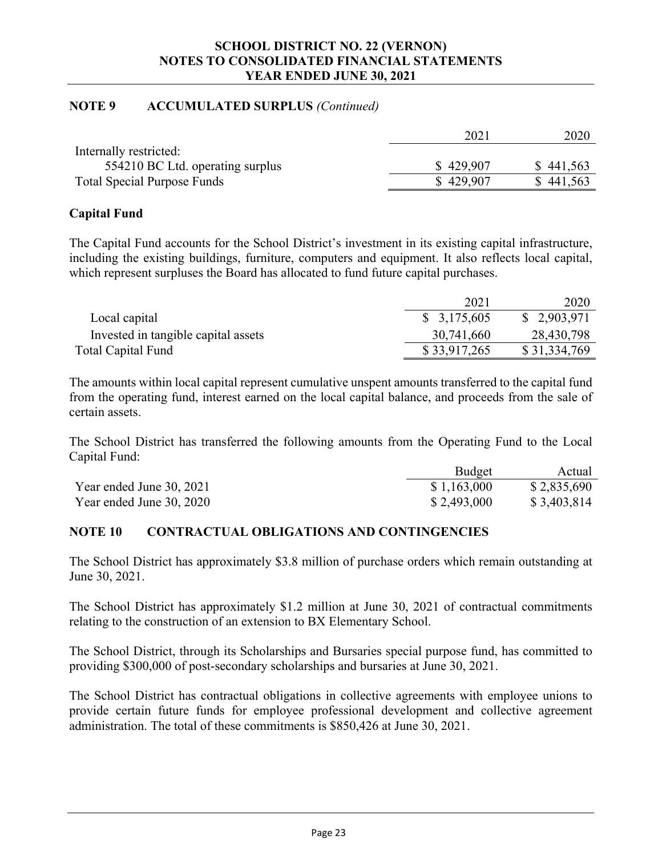#### **NOTE 9 ACCUMULATED SURPLUS** *(Continued)*

|                                    | 202.      | 2020      |
|------------------------------------|-----------|-----------|
| Internally restricted:             |           |           |
| 554210 BC Ltd. operating surplus   | \$429,907 | \$441,563 |
| <b>Total Special Purpose Funds</b> | \$429,907 | \$441,563 |

#### **Capital Fund**

The Capital Fund accounts for the School District's investment in its existing capital infrastructure, including the existing buildings, furniture, computers and equipment. It also reflects local capital, which represent surpluses the Board has allocated to fund future capital purchases.

|                                     | 2021         | 2020         |
|-------------------------------------|--------------|--------------|
| Local capital                       | \$3,175,605  | \$2,903,971  |
| Invested in tangible capital assets | 30,741,660   | 28,430,798   |
| <b>Total Capital Fund</b>           | \$33,917,265 | \$31,334,769 |

The amounts within local capital represent cumulative unspent amounts transferred to the capital fund from the operating fund, interest earned on the local capital balance, and proceeds from the sale of certain assets.

The School District has transferred the following amounts from the Operating Fund to the Local Capital Fund:

|                          | <b>Budget</b> | Actual      |
|--------------------------|---------------|-------------|
| Year ended June 30, 2021 | \$1,163,000   | \$2,835,690 |
| Year ended June 30, 2020 | \$2,493,000   | \$3,403,814 |

#### **NOTE 10 CONTRACTUAL OBLIGATIONS AND CONTINGENCIES**

The School District has approximately \$3.8 million of purchase orders which remain outstanding at June 30, 2021.

The School District has approximately \$1.2 million at June 30, 2021 of contractual commitments relating to the construction of an extension to BX Elementary School.

The School District, through its Scholarships and Bursaries special purpose fund, has committed to providing \$300,000 of post-secondary scholarships and bursaries at June 30, 2021.

The School District has contractual obligations in collective agreements with employee unions to provide certain future funds for employee professional development and collective agreement administration. The total of these commitments is \$850,426 at June 30, 2021.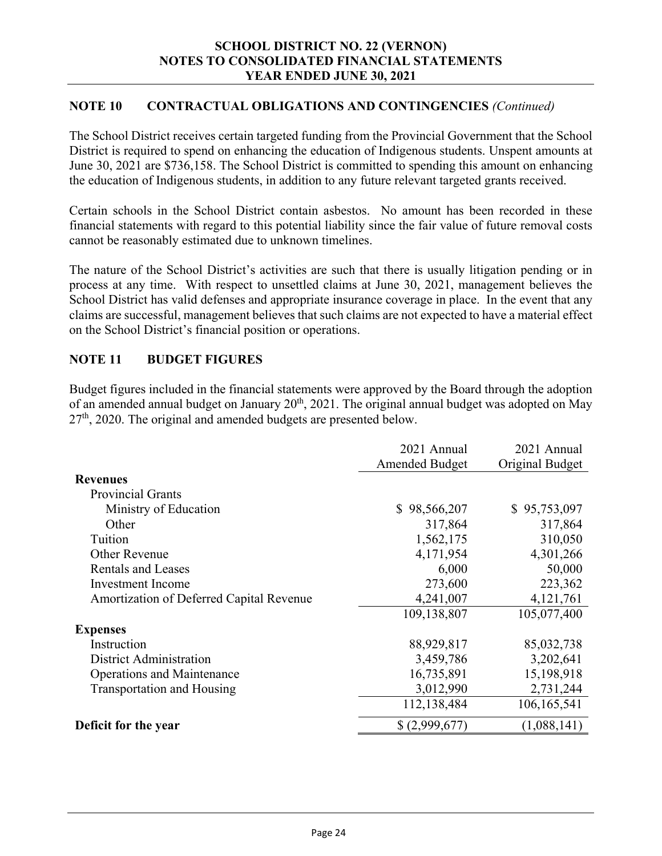#### **NOTE 10 CONTRACTUAL OBLIGATIONS AND CONTINGENCIES** *(Continued)*

The School District receives certain targeted funding from the Provincial Government that the School District is required to spend on enhancing the education of Indigenous students. Unspent amounts at June 30, 2021 are \$736,158. The School District is committed to spending this amount on enhancing the education of Indigenous students, in addition to any future relevant targeted grants received.

Certain schools in the School District contain asbestos. No amount has been recorded in these financial statements with regard to this potential liability since the fair value of future removal costs cannot be reasonably estimated due to unknown timelines.

The nature of the School District's activities are such that there is usually litigation pending or in process at any time. With respect to unsettled claims at June 30, 2021, management believes the School District has valid defenses and appropriate insurance coverage in place. In the event that any claims are successful, management believes that such claims are not expected to have a material effect on the School District's financial position or operations.

#### **NOTE 11 BUDGET FIGURES**

Budget figures included in the financial statements were approved by the Board through the adoption of an amended annual budget on January 20<sup>th</sup>, 2021. The original annual budget was adopted on May  $27<sup>th</sup>$ , 2020. The original and amended budgets are presented below.

|                                          | 2021 Annual    | 2021 Annual     |
|------------------------------------------|----------------|-----------------|
|                                          | Amended Budget | Original Budget |
| <b>Revenues</b>                          |                |                 |
| <b>Provincial Grants</b>                 |                |                 |
| Ministry of Education                    | \$98,566,207   | \$95,753,097    |
| Other                                    | 317,864        | 317,864         |
| Tuition                                  | 1,562,175      | 310,050         |
| <b>Other Revenue</b>                     | 4,171,954      | 4,301,266       |
| <b>Rentals and Leases</b>                | 6,000          | 50,000          |
| <b>Investment</b> Income                 | 273,600        | 223,362         |
| Amortization of Deferred Capital Revenue | 4,241,007      | 4,121,761       |
|                                          | 109,138,807    | 105,077,400     |
| <b>Expenses</b>                          |                |                 |
| Instruction                              | 88,929,817     | 85,032,738      |
| District Administration                  | 3,459,786      | 3,202,641       |
| <b>Operations and Maintenance</b>        | 16,735,891     | 15,198,918      |
| <b>Transportation and Housing</b>        | 3,012,990      | 2,731,244       |
|                                          | 112,138,484    | 106,165,541     |
| Deficit for the year                     | \$ (2,999,677) | (1,088,141)     |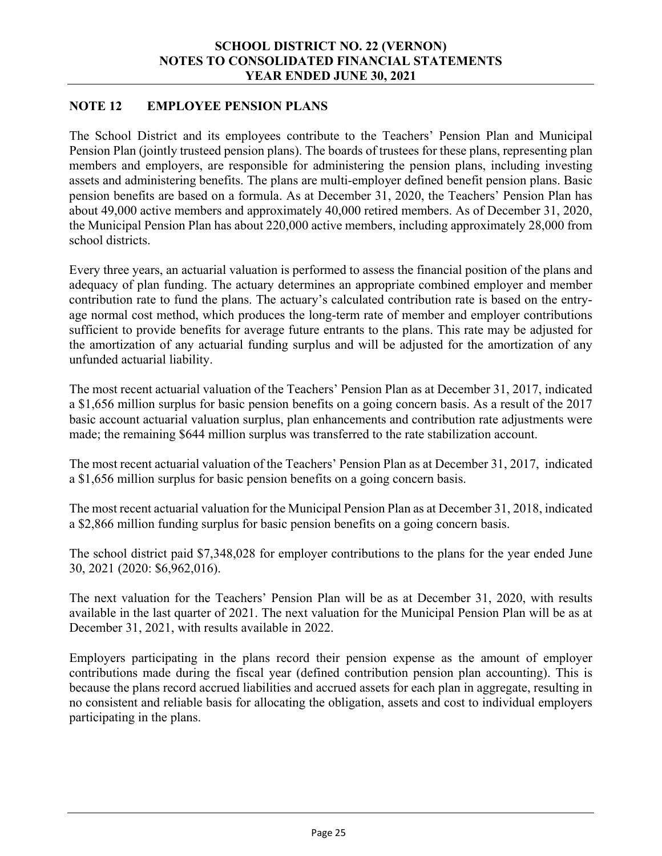#### **NOTE 12 EMPLOYEE PENSION PLANS**

The School District and its employees contribute to the Teachers' Pension Plan and Municipal Pension Plan (jointly trusteed pension plans). The boards of trustees for these plans, representing plan members and employers, are responsible for administering the pension plans, including investing assets and administering benefits. The plans are multi-employer defined benefit pension plans. Basic pension benefits are based on a formula. As at December 31, 2020, the Teachers' Pension Plan has about 49,000 active members and approximately 40,000 retired members. As of December 31, 2020, the Municipal Pension Plan has about 220,000 active members, including approximately 28,000 from school districts.

Every three years, an actuarial valuation is performed to assess the financial position of the plans and adequacy of plan funding. The actuary determines an appropriate combined employer and member contribution rate to fund the plans. The actuary's calculated contribution rate is based on the entryage normal cost method, which produces the long-term rate of member and employer contributions sufficient to provide benefits for average future entrants to the plans. This rate may be adjusted for the amortization of any actuarial funding surplus and will be adjusted for the amortization of any unfunded actuarial liability.

The most recent actuarial valuation of the Teachers' Pension Plan as at December 31, 2017, indicated a \$1,656 million surplus for basic pension benefits on a going concern basis. As a result of the 2017 basic account actuarial valuation surplus, plan enhancements and contribution rate adjustments were made; the remaining \$644 million surplus was transferred to the rate stabilization account.

The most recent actuarial valuation of the Teachers' Pension Plan as at December 31, 2017, indicated a \$1,656 million surplus for basic pension benefits on a going concern basis.

The most recent actuarial valuation for the Municipal Pension Plan as at December 31, 2018, indicated a \$2,866 million funding surplus for basic pension benefits on a going concern basis.

The school district paid \$7,348,028 for employer contributions to the plans for the year ended June 30, 2021 (2020: \$6,962,016).

The next valuation for the Teachers' Pension Plan will be as at December 31, 2020, with results available in the last quarter of 2021. The next valuation for the Municipal Pension Plan will be as at December 31, 2021, with results available in 2022.

Employers participating in the plans record their pension expense as the amount of employer contributions made during the fiscal year (defined contribution pension plan accounting). This is because the plans record accrued liabilities and accrued assets for each plan in aggregate, resulting in no consistent and reliable basis for allocating the obligation, assets and cost to individual employers participating in the plans.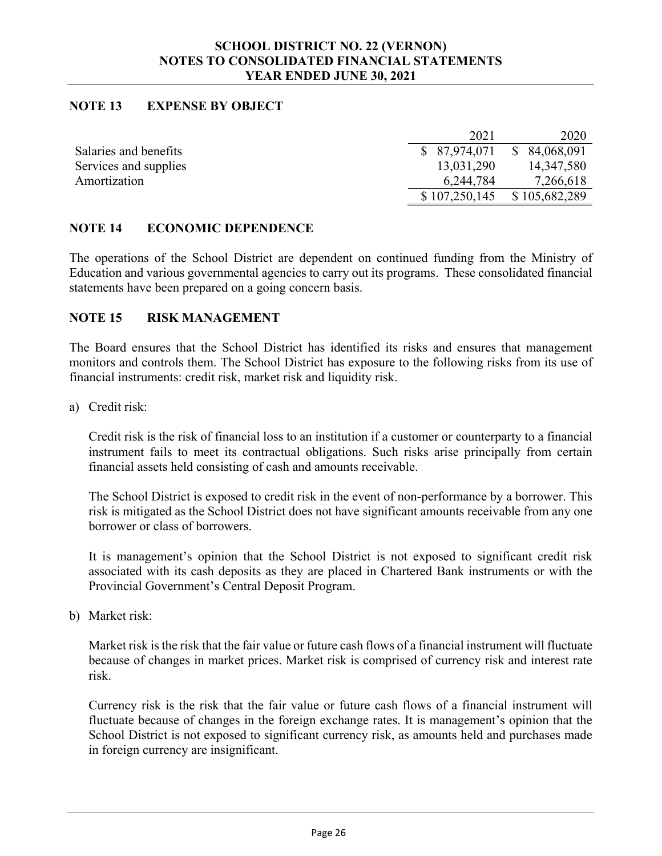#### **NOTE 13 EXPENSE BY OBJECT**

|                       | 2021          | 2020          |
|-----------------------|---------------|---------------|
| Salaries and benefits | \$ 87,974,071 | \$ 84,068,091 |
| Services and supplies | 13,031,290    | 14,347,580    |
| Amortization          | 6,244,784     | 7,266,618     |
|                       | \$107,250,145 | \$105,682,289 |

#### **NOTE 14 ECONOMIC DEPENDENCE**

The operations of the School District are dependent on continued funding from the Ministry of Education and various governmental agencies to carry out its programs. These consolidated financial statements have been prepared on a going concern basis.

#### **NOTE 15 RISK MANAGEMENT**

The Board ensures that the School District has identified its risks and ensures that management monitors and controls them. The School District has exposure to the following risks from its use of financial instruments: credit risk, market risk and liquidity risk.

a) Credit risk:

Credit risk is the risk of financial loss to an institution if a customer or counterparty to a financial instrument fails to meet its contractual obligations. Such risks arise principally from certain financial assets held consisting of cash and amounts receivable.

The School District is exposed to credit risk in the event of non-performance by a borrower. This risk is mitigated as the School District does not have significant amounts receivable from any one borrower or class of borrowers.

It is management's opinion that the School District is not exposed to significant credit risk associated with its cash deposits as they are placed in Chartered Bank instruments or with the Provincial Government's Central Deposit Program.

b) Market risk:

Market risk is the risk that the fair value or future cash flows of a financial instrument will fluctuate because of changes in market prices. Market risk is comprised of currency risk and interest rate risk.

Currency risk is the risk that the fair value or future cash flows of a financial instrument will fluctuate because of changes in the foreign exchange rates. It is management's opinion that the School District is not exposed to significant currency risk, as amounts held and purchases made in foreign currency are insignificant.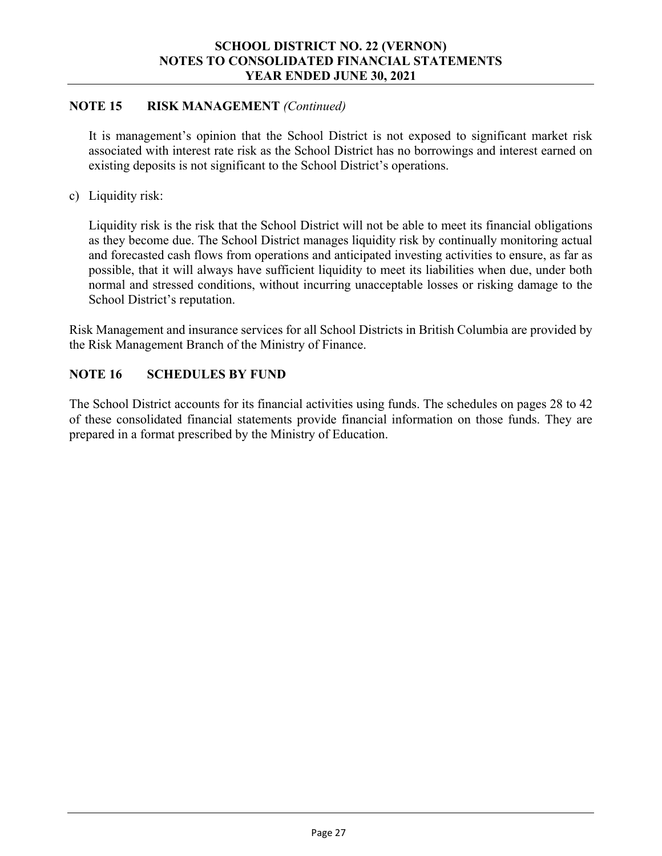#### **NOTE 15 RISK MANAGEMENT** *(Continued)*

It is management's opinion that the School District is not exposed to significant market risk associated with interest rate risk as the School District has no borrowings and interest earned on existing deposits is not significant to the School District's operations.

c) Liquidity risk:

Liquidity risk is the risk that the School District will not be able to meet its financial obligations as they become due. The School District manages liquidity risk by continually monitoring actual and forecasted cash flows from operations and anticipated investing activities to ensure, as far as possible, that it will always have sufficient liquidity to meet its liabilities when due, under both normal and stressed conditions, without incurring unacceptable losses or risking damage to the School District's reputation.

Risk Management and insurance services for all School Districts in British Columbia are provided by the Risk Management Branch of the Ministry of Finance.

#### **NOTE 16 SCHEDULES BY FUND**

The School District accounts for its financial activities using funds. The schedules on pages 28 to 42 of these consolidated financial statements provide financial information on those funds. They are prepared in a format prescribed by the Ministry of Education.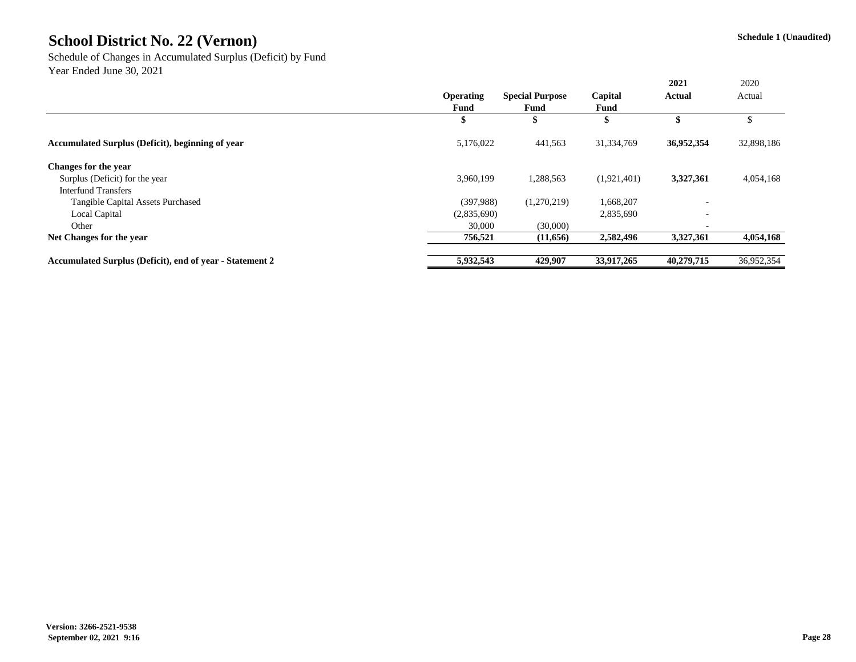Schedule of Changes in Accumulated Surplus (Deficit) by Fund Year Ended June 30, 2021

|                                                                 |                  |                        |             | 2021          | 2020       |
|-----------------------------------------------------------------|------------------|------------------------|-------------|---------------|------------|
|                                                                 | <b>Operating</b> | <b>Special Purpose</b> | Capital     | <b>Actual</b> | Actual     |
|                                                                 | <b>Fund</b>      | <b>Fund</b>            | Fund        |               |            |
|                                                                 | \$               |                        | п.          |               |            |
| <b>Accumulated Surplus (Deficit), beginning of year</b>         | 5,176,022        | 441,563                | 31,334,769  | 36,952,354    | 32,898,186 |
| <b>Changes for the year</b>                                     |                  |                        |             |               |            |
| Surplus (Deficit) for the year                                  | 3,960,199        | 1,288,563              | (1,921,401) | 3,327,361     | 4,054,168  |
| <b>Interfund Transfers</b>                                      |                  |                        |             |               |            |
| <b>Tangible Capital Assets Purchased</b>                        | (397,988)        | (1,270,219)            | 1,668,207   |               |            |
| Local Capital                                                   | (2,835,690)      |                        | 2,835,690   |               |            |
| Other                                                           | 30,000           | (30,000)               |             |               |            |
| Net Changes for the year                                        | 756,521          | (11,656)               | 2,582,496   | 3,327,361     | 4,054,168  |
| <b>Accumulated Surplus (Deficit), end of year - Statement 2</b> | 5,932,543        | 429,907                | 33,917,265  | 40,279,715    | 36,952,354 |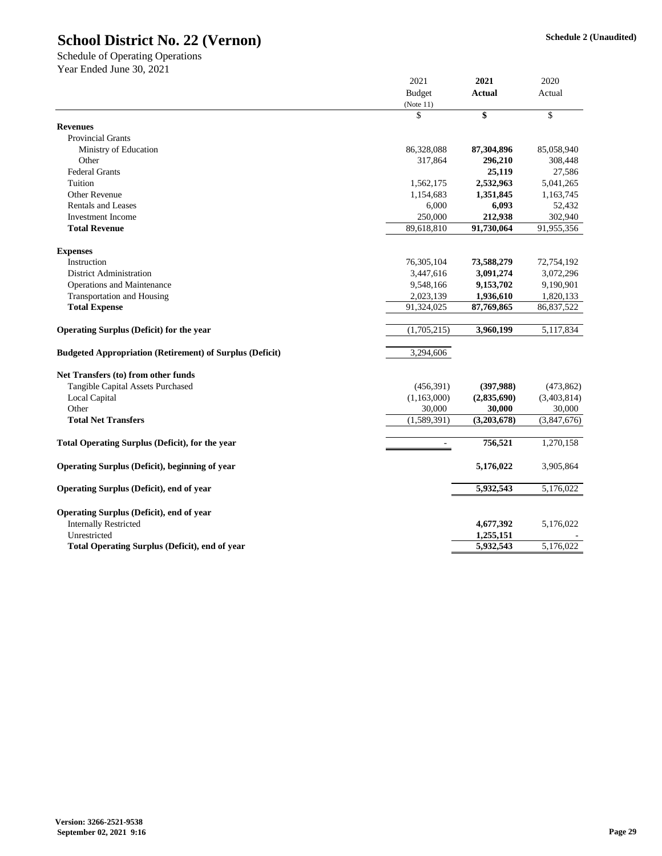|                                                                 | 2021          | 2021          | 2020        |
|-----------------------------------------------------------------|---------------|---------------|-------------|
|                                                                 | <b>Budget</b> | <b>Actual</b> | Actual      |
|                                                                 | (Note 11)     |               |             |
|                                                                 | \$            | \$            | \$          |
| <b>Revenues</b>                                                 |               |               |             |
| <b>Provincial Grants</b>                                        |               |               |             |
| Ministry of Education                                           | 86,328,088    | 87,304,896    | 85,058,940  |
| Other                                                           | 317,864       | 296,210       | 308,448     |
| <b>Federal Grants</b>                                           |               | 25,119        | 27,586      |
| Tuition                                                         | 1,562,175     | 2,532,963     | 5,041,265   |
| <b>Other Revenue</b>                                            | 1,154,683     | 1,351,845     | 1,163,745   |
| <b>Rentals and Leases</b>                                       | 6,000         | 6,093         | 52,432      |
| <b>Investment Income</b>                                        | 250,000       | 212,938       | 302,940     |
| <b>Total Revenue</b>                                            | 89,618,810    | 91,730,064    | 91,955,356  |
| <b>Expenses</b>                                                 |               |               |             |
| Instruction                                                     | 76,305,104    | 73,588,279    | 72,754,192  |
| <b>District Administration</b>                                  | 3,447,616     | 3,091,274     | 3,072,296   |
| <b>Operations and Maintenance</b>                               | 9,548,166     | 9,153,702     | 9,190,901   |
| <b>Transportation and Housing</b>                               | 2,023,139     | 1,936,610     | 1,820,133   |
| <b>Total Expense</b>                                            | 91,324,025    | 87,769,865    | 86,837,522  |
|                                                                 |               |               |             |
| <b>Operating Surplus (Deficit) for the year</b>                 | (1,705,215)   | 3,960,199     | 5,117,834   |
| <b>Budgeted Appropriation (Retirement) of Surplus (Deficit)</b> | 3,294,606     |               |             |
| Net Transfers (to) from other funds                             |               |               |             |
| <b>Tangible Capital Assets Purchased</b>                        | (456,391)     | (397,988)     | (473, 862)  |
| Local Capital                                                   | (1,163,000)   | (2,835,690)   | (3,403,814) |
| Other                                                           | 30,000        | 30,000        | 30,000      |
| <b>Total Net Transfers</b>                                      | (1,589,391)   | (3,203,678)   | (3,847,676) |
| <b>Total Operating Surplus (Deficit), for the year</b>          |               | 756,521       | 1,270,158   |
|                                                                 |               |               |             |
| <b>Operating Surplus (Deficit), beginning of year</b>           |               | 5,176,022     | 3,905,864   |
| <b>Operating Surplus (Deficit), end of year</b>                 |               | 5,932,543     | 5,176,022   |
|                                                                 |               |               |             |
| <b>Operating Surplus (Deficit), end of year</b>                 |               |               |             |
| <b>Internally Restricted</b>                                    |               | 4,677,392     | 5,176,022   |
| Unrestricted                                                    |               | 1,255,151     |             |
| <b>Total Operating Surplus (Deficit), end of year</b>           |               | 5,932,543     | 5,176,022   |

Schedule of Operating Operations Year Ended June 30, 2021

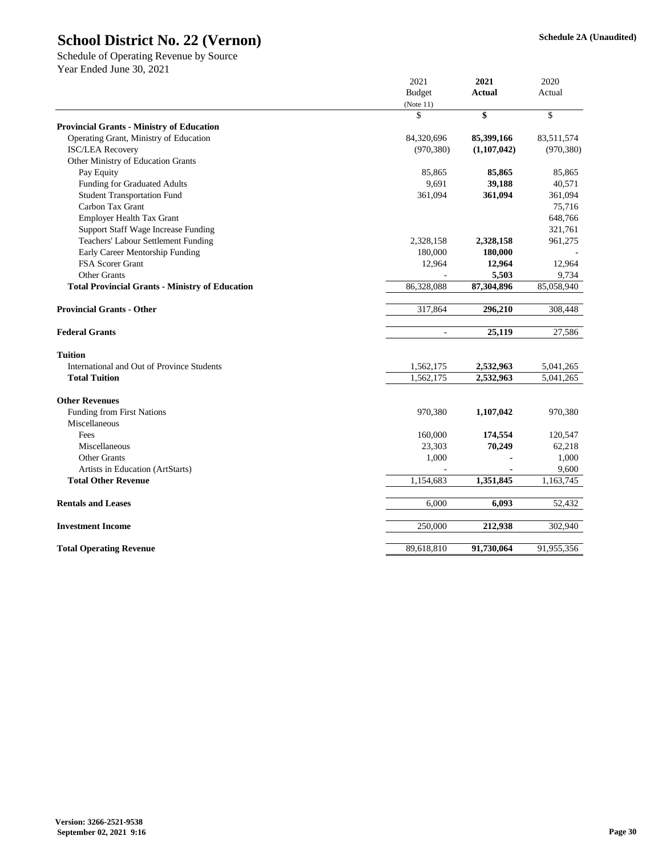|                                                        | 2021          | 2021          | 2020       |
|--------------------------------------------------------|---------------|---------------|------------|
|                                                        | <b>Budget</b> | <b>Actual</b> | Actual     |
|                                                        | (Note 11)     |               |            |
|                                                        | \$            | \$            | \$         |
| <b>Provincial Grants - Ministry of Education</b>       |               |               |            |
| Operating Grant, Ministry of Education                 | 84,320,696    | 85,399,166    | 83,511,574 |
| <b>ISC/LEA Recovery</b>                                | (970, 380)    | (1,107,042)   | (970, 380) |
| Other Ministry of Education Grants                     |               |               |            |
| Pay Equity                                             | 85,865        | 85,865        | 85,865     |
| <b>Funding for Graduated Adults</b>                    | 9,691         | 39,188        | 40,571     |
| <b>Student Transportation Fund</b>                     | 361,094       | 361,094       | 361,094    |
| Carbon Tax Grant                                       |               |               | 75,716     |
| <b>Employer Health Tax Grant</b>                       |               |               | 648,766    |
| <b>Support Staff Wage Increase Funding</b>             |               |               | 321,761    |
| <b>Teachers' Labour Settlement Funding</b>             | 2,328,158     | 2,328,158     | 961,275    |
| Early Career Mentorship Funding                        | 180,000       | 180,000       |            |
| <b>FSA Scorer Grant</b>                                | 12,964        | 12,964        | 12,964     |
| <b>Other Grants</b>                                    |               | 5,503         | 9,734      |
| <b>Total Provincial Grants - Ministry of Education</b> | 86,328,088    | 87,304,896    | 85,058,940 |
|                                                        |               |               |            |
| <b>Provincial Grants - Other</b>                       | 317,864       | 296,210       | 308,448    |
| <b>Federal Grants</b>                                  |               | 25,119        | 27,586     |
| <b>Tuition</b>                                         |               |               |            |
| International and Out of Province Students             | 1,562,175     | 2,532,963     | 5,041,265  |
| <b>Total Tuition</b>                                   | 1,562,175     | 2,532,963     | 5,041,265  |
|                                                        |               |               |            |
| <b>Other Revenues</b>                                  |               |               |            |
| <b>Funding from First Nations</b>                      | 970,380       | 1,107,042     | 970,380    |
| Miscellaneous                                          |               |               |            |
| Fees                                                   | 160,000       | 174,554       | 120,547    |
| Miscellaneous                                          | 23,303        | 70,249        | 62,218     |
| <b>Other Grants</b>                                    | 1,000         |               | 1,000      |
| Artists in Education (ArtStarts)                       |               |               | 9,600      |
| <b>Total Other Revenue</b>                             | 1,154,683     | 1,351,845     | 1,163,745  |
| <b>Rentals and Leases</b>                              | 6,000         | 6,093         | 52,432     |
| <b>Investment Income</b>                               | 250,000       | 212,938       | 302,940    |
|                                                        |               |               |            |
| <b>Total Operating Revenue</b>                         | 89,618,810    | 91,730,064    | 91,955,356 |

Schedule of Operating Revenue by Source Year Ended June 30, 2021

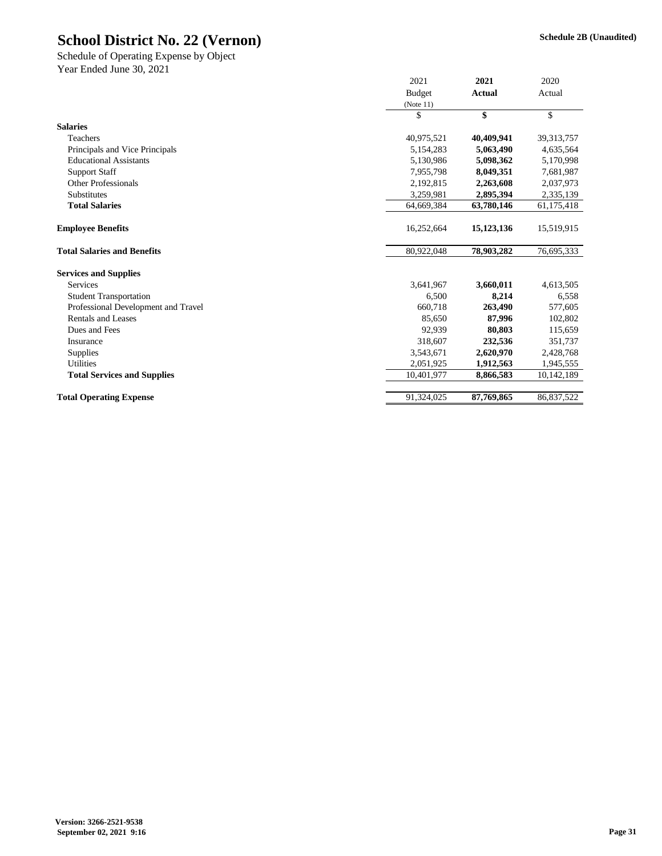|                                     | 2021          | 2021          | 2020         |
|-------------------------------------|---------------|---------------|--------------|
|                                     | <b>Budget</b> | <b>Actual</b> | Actual       |
|                                     | (Note 11)     |               |              |
|                                     | \$            | \$            | \$           |
| <b>Salaries</b>                     |               |               |              |
| Teachers                            | 40,975,521    | 40,409,941    | 39, 313, 757 |
| Principals and Vice Principals      | 5,154,283     | 5,063,490     | 4,635,564    |
| <b>Educational Assistants</b>       | 5,130,986     | 5,098,362     | 5,170,998    |
| <b>Support Staff</b>                | 7,955,798     | 8,049,351     | 7,681,987    |
| <b>Other Professionals</b>          | 2,192,815     | 2,263,608     | 2,037,973    |
| Substitutes                         | 3,259,981     | 2,895,394     | 2,335,139    |
| <b>Total Salaries</b>               | 64,669,384    | 63,780,146    | 61,175,418   |
| <b>Employee Benefits</b>            | 16,252,664    | 15,123,136    | 15,519,915   |
| <b>Total Salaries and Benefits</b>  | 80,922,048    | 78,903,282    | 76,695,333   |
| <b>Services and Supplies</b>        |               |               |              |
| <b>Services</b>                     | 3,641,967     | 3,660,011     | 4,613,505    |
| <b>Student Transportation</b>       | 6,500         | 8,214         | 6,558        |
| Professional Development and Travel | 660,718       | 263,490       | 577,605      |
| <b>Rentals and Leases</b>           | 85,650        | 87,996        | 102,802      |
| Dues and Fees                       | 92,939        | 80,803        | 115,659      |
| Insurance                           | 318,607       | 232,536       | 351,737      |
| <b>Supplies</b>                     | 3,543,671     | 2,620,970     | 2,428,768    |
| <b>Utilities</b>                    | 2,051,925     | 1,912,563     | 1,945,555    |
| <b>Total Services and Supplies</b>  | 10,401,977    | 8,866,583     | 10,142,189   |
| <b>Total Operating Expense</b>      | 91,324,025    | 87,769,865    | 86,837,522   |

Year Ended June 30, 2021 Schedule of Operating Expense by Object

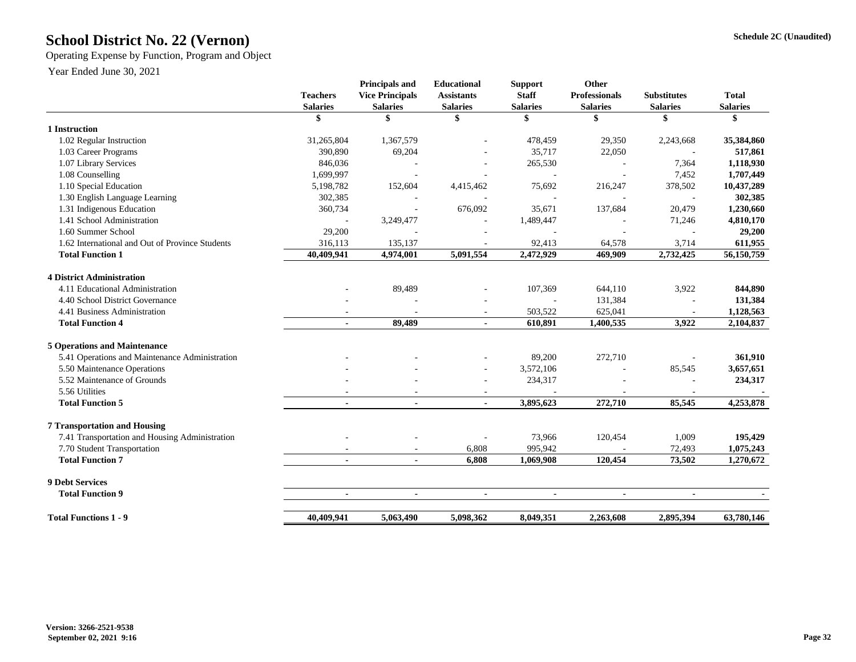# **Schedule 2C (Unaudited) School District No. 22 (Vernon)**

Operating Expense by Function, Program and Object

|                                                 | <b>Teachers</b><br><b>Salaries</b> | <b>Principals and</b><br><b>Vice Principals</b><br><b>Salaries</b> | <b>Educational</b><br><b>Assistants</b><br><b>Salaries</b> | <b>Support</b><br><b>Staff</b><br><b>Salaries</b> | <b>Other</b><br><b>Professionals</b><br><b>Salaries</b> | <b>Substitutes</b><br><b>Salaries</b> | <b>Total</b><br><b>Salaries</b> |
|-------------------------------------------------|------------------------------------|--------------------------------------------------------------------|------------------------------------------------------------|---------------------------------------------------|---------------------------------------------------------|---------------------------------------|---------------------------------|
|                                                 | S                                  |                                                                    | \$                                                         | S                                                 |                                                         |                                       | ж                               |
| 1 Instruction                                   |                                    |                                                                    |                                                            |                                                   |                                                         |                                       |                                 |
| 1.02 Regular Instruction                        | 31,265,804                         | 1,367,579                                                          |                                                            | 478,459                                           | 29,350                                                  | 2,243,668                             | 35,384,860                      |
| 1.03 Career Programs                            | 390,890                            | 69,204                                                             |                                                            | 35,717                                            | 22,050                                                  |                                       | 517,861                         |
| 1.07 Library Services                           | 846,036                            |                                                                    |                                                            | 265,530                                           |                                                         | 7,364                                 | 1,118,930                       |
| 1.08 Counselling                                | 1,699,997                          |                                                                    |                                                            |                                                   |                                                         | 7,452                                 | 1,707,449                       |
| 1.10 Special Education                          | 5,198,782                          | 152,604                                                            | 4,415,462                                                  | 75,692                                            | 216,247                                                 | 378,502                               | 10,437,289                      |
| 1.30 English Language Learning                  | 302,385                            |                                                                    |                                                            |                                                   |                                                         |                                       | 302,385                         |
| 1.31 Indigenous Education                       | 360,734                            | $\overline{\phantom{0}}$                                           | 676,092                                                    | 35,671                                            | 137,684                                                 | 20,479                                | 1,230,660                       |
| 1.41 School Administration                      |                                    | 3,249,477                                                          |                                                            | 1,489,447                                         |                                                         | 71,246                                | 4,810,170                       |
| 1.60 Summer School                              | 29,200                             |                                                                    |                                                            |                                                   |                                                         |                                       | 29,200                          |
| 1.62 International and Out of Province Students | 316,113                            | 135,137                                                            |                                                            | 92,413                                            | 64,578                                                  | 3,714                                 | 611,955                         |
| <b>Total Function 1</b>                         | 40,409,941                         | 4,974,001                                                          | 5,091,554                                                  | 2,472,929                                         | 469,909                                                 | 2,732,425                             | 56,150,759                      |
| <b>4 District Administration</b>                |                                    |                                                                    |                                                            |                                                   |                                                         |                                       |                                 |
| 4.11 Educational Administration                 |                                    | 89,489                                                             |                                                            | 107,369                                           | 644,110                                                 | 3,922                                 | 844,890                         |
| 4.40 School District Governance                 |                                    |                                                                    |                                                            |                                                   | 131,384                                                 |                                       | 131,384                         |
| 4.41 Business Administration                    |                                    |                                                                    |                                                            | 503,522                                           | 625,041                                                 |                                       | 1,128,563                       |
| <b>Total Function 4</b>                         |                                    | 89,489                                                             | Ξ.                                                         | 610,891                                           | 1,400,535                                               | 3,922                                 | 2,104,837                       |
| <b>5 Operations and Maintenance</b>             |                                    |                                                                    |                                                            |                                                   |                                                         |                                       |                                 |
| 5.41 Operations and Maintenance Administration  |                                    |                                                                    |                                                            | 89,200                                            | 272,710                                                 |                                       | 361,910                         |
| 5.50 Maintenance Operations                     |                                    |                                                                    | $\overline{\phantom{a}}$                                   | 3,572,106                                         |                                                         | 85,545                                | 3,657,651                       |
| 5.52 Maintenance of Grounds                     |                                    |                                                                    |                                                            | 234,317                                           |                                                         |                                       | 234,317                         |
| 5.56 Utilities                                  |                                    |                                                                    |                                                            |                                                   |                                                         |                                       |                                 |
| <b>Total Function 5</b>                         | $\blacksquare$                     | $\blacksquare$                                                     | $\blacksquare$                                             | 3,895,623                                         | 272,710                                                 | 85,545                                | 4,253,878                       |
| <b>7 Transportation and Housing</b>             |                                    |                                                                    |                                                            |                                                   |                                                         |                                       |                                 |
| 7.41 Transportation and Housing Administration  |                                    |                                                                    | $\overline{\phantom{a}}$                                   | 73,966                                            | 120,454                                                 | 1,009                                 | 195,429                         |
| 7.70 Student Transportation                     |                                    |                                                                    | 6,808                                                      | 995,942                                           |                                                         | 72,493                                | 1,075,243                       |
| <b>Total Function 7</b>                         |                                    | $\blacksquare$                                                     | 6,808                                                      | 1,069,908                                         | 120,454                                                 | 73,502                                | 1,270,672                       |
| <b>9 Debt Services</b>                          |                                    |                                                                    |                                                            |                                                   |                                                         |                                       |                                 |
| <b>Total Function 9</b>                         | $\sim$                             | $\blacksquare$                                                     | $\blacksquare$                                             | $\blacksquare$                                    | $\blacksquare$                                          | $\blacksquare$                        |                                 |
| <b>Total Functions 1 - 9</b>                    | 40,409,941                         | 5,063,490                                                          | 5,098,362                                                  | 8,049,351                                         | 2,263,608                                               | 2,895,394                             | 63,780,146                      |

Year Ended June 30, 2021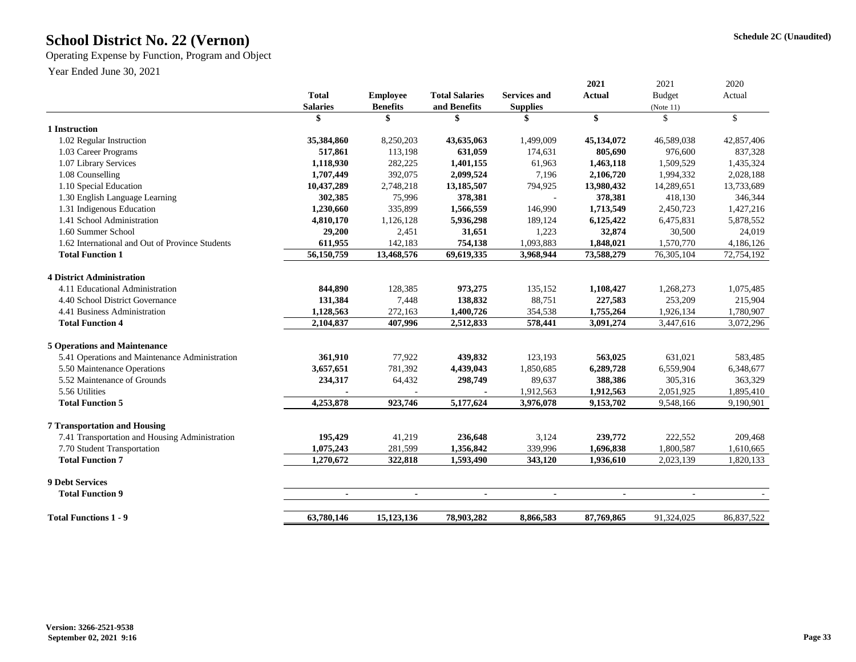# **Schedule 2C (Unaudited) School District No. 22 (Vernon)**

Operating Expense by Function, Program and Object

Year Ended June 30, 2021

|                                                 | <b>Total</b>    |                 | <b>Total Salaries</b> |                                        | 2021           | 2021           | 2020<br>Actual |
|-------------------------------------------------|-----------------|-----------------|-----------------------|----------------------------------------|----------------|----------------|----------------|
|                                                 |                 | <b>Employee</b> |                       | <b>Services and</b><br><b>Supplies</b> | <b>Actual</b>  | <b>Budget</b>  |                |
|                                                 | <b>Salaries</b> | <b>Benefits</b> | and Benefits          |                                        |                | (Note $11$ )   |                |
|                                                 | \$              |                 | \$                    |                                        | \$             | \$             | \$             |
| 1 Instruction                                   |                 |                 |                       |                                        |                |                |                |
| 1.02 Regular Instruction                        | 35,384,860      | 8,250,203       | 43,635,063            | 1,499,009                              | 45, 134, 072   | 46,589,038     | 42,857,406     |
| 1.03 Career Programs                            | 517,861         | 113,198         | 631,059               | 174,631                                | 805,690        | 976,600        | 837,328        |
| 1.07 Library Services                           | 1,118,930       | 282,225         | 1,401,155             | 61,963                                 | 1,463,118      | 1,509,529      | 1,435,324      |
| 1.08 Counselling                                | 1,707,449       | 392,075         | 2,099,524             | 7,196                                  | 2,106,720      | 1,994,332      | 2,028,188      |
| 1.10 Special Education                          | 10,437,289      | 2,748,218       | 13,185,507            | 794,925                                | 13,980,432     | 14,289,651     | 13,733,689     |
| 1.30 English Language Learning                  | 302,385         | 75,996          | 378,381               |                                        | 378,381        | 418,130        | 346,344        |
| 1.31 Indigenous Education                       | 1,230,660       | 335,899         | 1,566,559             | 146,990                                | 1,713,549      | 2,450,723      | 1,427,216      |
| 1.41 School Administration                      | 4,810,170       | 1,126,128       | 5,936,298             | 189,124                                | 6,125,422      | 6,475,831      | 5,878,552      |
| 1.60 Summer School                              | 29,200          | 2,451           | 31,651                | 1,223                                  | 32,874         | 30,500         | 24,019         |
| 1.62 International and Out of Province Students | 611,955         | 142,183         | 754,138               | 1,093,883                              | 1,848,021      | 1,570,770      | 4,186,126      |
| <b>Total Function 1</b>                         | 56,150,759      | 13,468,576      | 69,619,335            | 3,968,944                              | 73,588,279     | 76, 305, 104   | 72,754,192     |
| <b>4 District Administration</b>                |                 |                 |                       |                                        |                |                |                |
| 4.11 Educational Administration                 | 844,890         | 128,385         | 973,275               | 135,152                                | 1,108,427      | 1,268,273      | 1,075,485      |
| 4.40 School District Governance                 | 131,384         | 7,448           | 138,832               | 88,751                                 | 227,583        | 253,209        | 215,904        |
| 4.41 Business Administration                    | 1,128,563       | 272,163         | 1,400,726             | 354,538                                | 1,755,264      | 1,926,134      | 1,780,907      |
| <b>Total Function 4</b>                         |                 |                 |                       |                                        |                |                |                |
|                                                 | 2,104,837       | 407,996         | 2,512,833             | 578,441                                | 3,091,274      | 3,447,616      | 3,072,296      |
| <b>5 Operations and Maintenance</b>             |                 |                 |                       |                                        |                |                |                |
| 5.41 Operations and Maintenance Administration  | 361,910         | 77,922          | 439,832               | 123,193                                | 563,025        | 631,021        | 583,485        |
| 5.50 Maintenance Operations                     | 3,657,651       | 781,392         | 4,439,043             | 1,850,685                              | 6,289,728      | 6,559,904      | 6,348,677      |
| 5.52 Maintenance of Grounds                     | 234,317         | 64,432          | 298,749               | 89,637                                 | 388,386        | 305,316        | 363,329        |
| 5.56 Utilities                                  |                 |                 |                       | 1,912,563                              | 1,912,563      | 2,051,925      | 1,895,410      |
| <b>Total Function 5</b>                         | 4,253,878       | 923,746         | 5,177,624             | 3,976,078                              | 9,153,702      | 9,548,166      | 9,190,901      |
| <b>7 Transportation and Housing</b>             |                 |                 |                       |                                        |                |                |                |
| 7.41 Transportation and Housing Administration  | 195,429         | 41,219          | 236,648               | 3,124                                  | 239,772        | 222,552        | 209,468        |
| 7.70 Student Transportation                     | 1,075,243       | 281,599         | 1,356,842             | 339,996                                | 1,696,838      | 1,800,587      | 1,610,665      |
| <b>Total Function 7</b>                         | 1,270,672       | 322,818         | 1,593,490             | 343,120                                | 1,936,610      | 2,023,139      | 1,820,133      |
|                                                 |                 |                 |                       |                                        |                |                |                |
| <b>9 Debt Services</b>                          |                 |                 |                       |                                        |                |                |                |
| <b>Total Function 9</b>                         | $\blacksquare$  | $\blacksquare$  | $\blacksquare$        | $\blacksquare$                         | $\blacksquare$ | $\blacksquare$ |                |
| <b>Total Functions 1 - 9</b>                    | 63,780,146      | 15,123,136      | 78,903,282            | 8,866,583                              | 87,769,865     | 91,324,025     | 86,837,522     |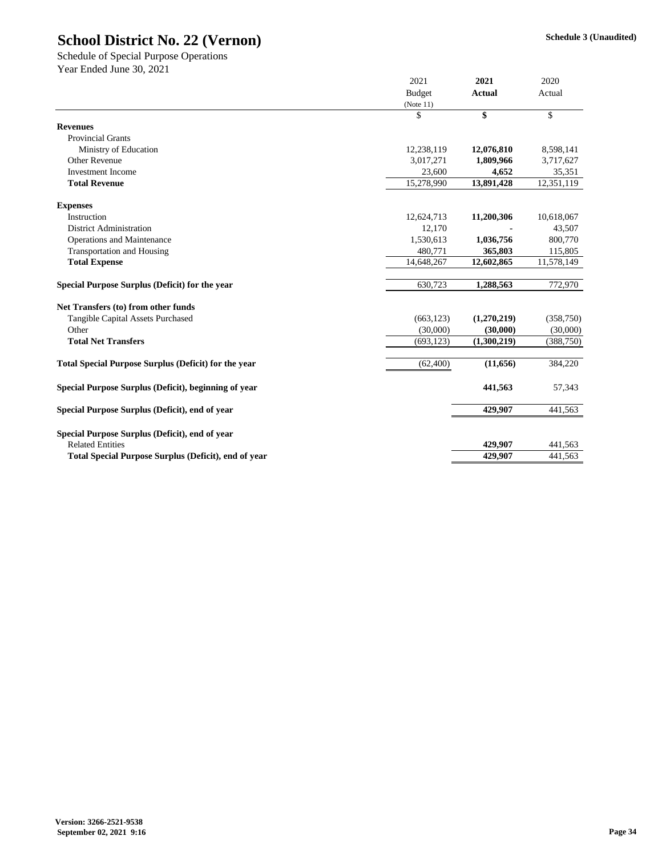|                                                             | 2021          | 2021          | 2020       |
|-------------------------------------------------------------|---------------|---------------|------------|
|                                                             | <b>Budget</b> | <b>Actual</b> | Actual     |
|                                                             | (Note 11)     |               |            |
|                                                             | \$            | \$            | \$         |
| <b>Revenues</b>                                             |               |               |            |
| <b>Provincial Grants</b>                                    |               |               |            |
| Ministry of Education                                       | 12,238,119    | 12,076,810    | 8,598,141  |
| <b>Other Revenue</b>                                        | 3,017,271     | 1,809,966     | 3,717,627  |
| <b>Investment Income</b>                                    | 23,600        | 4,652         | 35,351     |
| <b>Total Revenue</b>                                        | 15,278,990    | 13,891,428    | 12,351,119 |
| <b>Expenses</b>                                             |               |               |            |
| Instruction                                                 | 12,624,713    | 11,200,306    | 10,618,067 |
| <b>District Administration</b>                              | 12,170        |               | 43,507     |
| <b>Operations and Maintenance</b>                           | 1,530,613     | 1,036,756     | 800,770    |
| <b>Transportation and Housing</b>                           | 480,771       | 365,803       | 115,805    |
| <b>Total Expense</b>                                        | 14,648,267    | 12,602,865    | 11,578,149 |
| Special Purpose Surplus (Deficit) for the year              | 630,723       | 1,288,563     | 772,970    |
| Net Transfers (to) from other funds                         |               |               |            |
| <b>Tangible Capital Assets Purchased</b>                    | (663, 123)    | (1,270,219)   | (358,750)  |
| Other                                                       | (30,000)      | (30,000)      | (30,000)   |
| <b>Total Net Transfers</b>                                  | (693, 123)    | (1,300,219)   | (388, 750) |
| <b>Total Special Purpose Surplus (Deficit) for the year</b> | (62, 400)     | (11, 656)     | 384,220    |
| Special Purpose Surplus (Deficit), beginning of year        |               | 441,563       | 57,343     |
| Special Purpose Surplus (Deficit), end of year              |               | 429,907       | 441,563    |
| Special Purpose Surplus (Deficit), end of year              |               |               |            |
| <b>Related Entities</b>                                     |               | 429,907       | 441,563    |
| <b>Total Special Purpose Surplus (Deficit), end of year</b> |               | 429,907       | 441,563    |

Year Ended June 30, 2021 Schedule of Special Purpose Operations

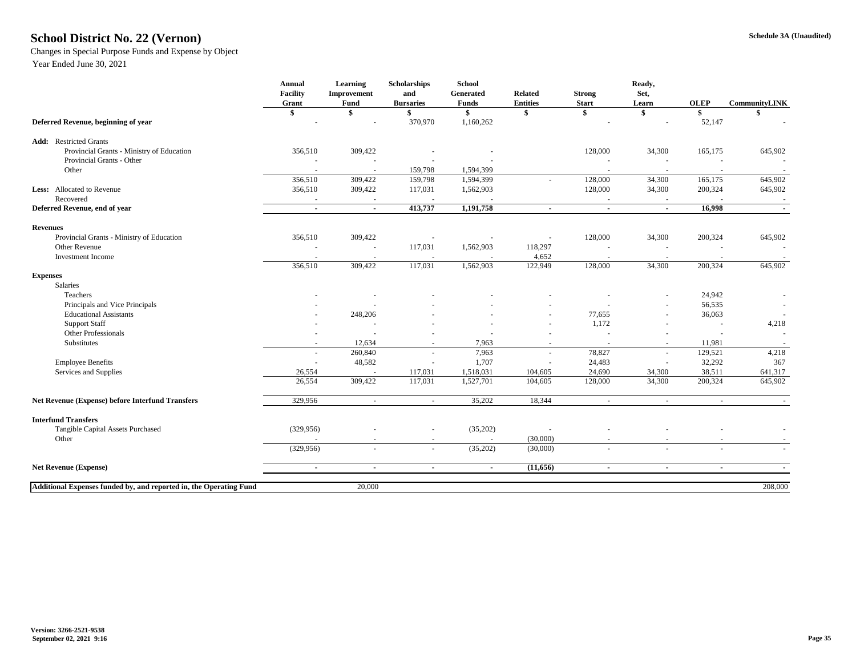### **Schedule 3A (Unaudited) School District No. 22 (Vernon)**

Changes in Special Purpose Funds and Expense by Object

|                                                                    | <b>Annual</b><br><b>Facility</b> | <b>Learning</b><br>Improvement | Scholarships<br>and | <b>School</b><br>Generated | <b>Related</b>           | <b>Strong</b>            | Ready,<br>Set,           |                          |                      |
|--------------------------------------------------------------------|----------------------------------|--------------------------------|---------------------|----------------------------|--------------------------|--------------------------|--------------------------|--------------------------|----------------------|
|                                                                    | Grant                            | <b>Fund</b>                    | <b>Bursaries</b>    | <b>Funds</b>               | <b>Entities</b>          | <b>Start</b>             | Learn                    | <b>OLEP</b>              | <b>CommunityLINK</b> |
| Deferred Revenue, beginning of year                                | $\boldsymbol{\$}$                | \$                             | \$<br>370,970       | \$<br>1,160,262            | \$                       | \$                       | \$                       | 52,147                   | $\mathbf{\$}$        |
| <b>Add:</b> Restricted Grants                                      |                                  |                                |                     |                            |                          |                          |                          |                          |                      |
| Provincial Grants - Ministry of Education                          | 356,510                          | 309,422                        |                     |                            |                          | 128,000                  | 34,300                   | 165,175                  | 645,902              |
| Provincial Grants - Other                                          |                                  |                                |                     |                            |                          |                          |                          |                          |                      |
| Other                                                              |                                  |                                | 159,798             | 1,594,399                  |                          |                          |                          |                          |                      |
|                                                                    | 356,510                          | 309,422                        | 159,798             | 1,594,399                  | $\overline{\phantom{a}}$ | 128,000                  | 34,300                   | 165,175                  | 645,902              |
| <b>Less:</b> Allocated to Revenue                                  | 356,510                          | 309,422                        | 117,031             | 1,562,903                  |                          | 128,000                  | 34,300                   | 200,324                  | 645,902              |
| Recovered                                                          | $\sim$                           |                                |                     |                            |                          | $\overline{\phantom{a}}$ | $\sim$                   |                          | $\sim$               |
| Deferred Revenue, end of year                                      | $\sim$                           | $\sim$                         | 413,737             | 1,191,758                  | $\sim$                   | $\sim$                   | $\blacksquare$           | 16,998                   |                      |
| <b>Revenues</b>                                                    |                                  |                                |                     |                            |                          |                          |                          |                          |                      |
| Provincial Grants - Ministry of Education                          | 356,510                          | 309,422                        |                     |                            |                          | 128,000                  | 34,300                   | 200,324                  | 645,902              |
| <b>Other Revenue</b>                                               |                                  |                                | 117,031             | 1,562,903                  | 118,297                  |                          |                          |                          |                      |
| <b>Investment Income</b>                                           |                                  |                                |                     |                            | 4,652                    |                          |                          |                          |                      |
|                                                                    | 356,510                          | 309,422                        | 117,031             | 1,562,903                  | 122,949                  | 128,000                  | 34,300                   | 200,324                  | 645,902              |
| <b>Expenses</b>                                                    |                                  |                                |                     |                            |                          |                          |                          |                          |                      |
| Salaries                                                           |                                  |                                |                     |                            |                          |                          |                          |                          |                      |
| Teachers                                                           |                                  |                                |                     |                            |                          |                          | $\overline{\phantom{a}}$ | 24,942                   |                      |
| Principals and Vice Principals                                     |                                  |                                |                     |                            |                          |                          | $\overline{\phantom{a}}$ | 56,535                   |                      |
| <b>Educational Assistants</b>                                      |                                  | 248,206                        |                     |                            | $\sim$                   | 77,655                   | $\overline{\phantom{a}}$ | 36,063                   |                      |
| <b>Support Staff</b>                                               |                                  |                                |                     |                            | $\overline{\phantom{a}}$ | 1,172                    | $\overline{\phantom{a}}$ |                          | 4,218                |
| <b>Other Professionals</b>                                         |                                  |                                |                     |                            | $\overline{\phantom{a}}$ |                          |                          |                          |                      |
| Substitutes                                                        |                                  | 12,634                         |                     | 7,963                      |                          |                          |                          | 11,981                   |                      |
|                                                                    | $\sim$                           | 260,840                        |                     | 7,963                      | $\overline{\phantom{a}}$ | 78,827                   | $\overline{\phantom{a}}$ | 129,521                  | 4,218                |
| <b>Employee Benefits</b>                                           | $\overline{\phantom{a}}$         | 48,582                         |                     | 1,707                      | $\overline{\phantom{a}}$ | 24,483                   | $\overline{\phantom{a}}$ | 32,292                   | 367                  |
| <b>Services and Supplies</b>                                       | 26,554                           |                                | 117,031             | 1,518,031                  | 104,605                  | 24,690                   | 34,300                   | 38,511                   | 641,317              |
|                                                                    | 26,554                           | 309,422                        | 117,031             | 1,527,701                  | 104,605                  | 128,000                  | 34,300                   | 200,324                  | 645,902              |
| <b>Net Revenue (Expense) before Interfund Transfers</b>            | 329,956                          |                                |                     | 35,202                     | 18,344                   |                          |                          |                          |                      |
|                                                                    |                                  |                                |                     |                            |                          |                          |                          |                          |                      |
| <b>Interfund Transfers</b>                                         |                                  |                                |                     |                            |                          |                          |                          |                          |                      |
| Tangible Capital Assets Purchased                                  | (329, 956)                       |                                |                     | (35,202)                   |                          |                          |                          |                          |                      |
| Other                                                              |                                  |                                |                     |                            | (30,000)                 |                          |                          |                          |                      |
|                                                                    | (329, 956)                       | $\sim$                         | $\sim$              | (35,202)                   | (30,000)                 | $\overline{\phantom{a}}$ | $\sim$                   | $\overline{\phantom{a}}$ | $-$                  |
| <b>Net Revenue (Expense)</b>                                       | $\blacksquare$                   | $\sim$                         | $\blacksquare$      | $\sim$                     | (11,656)                 | $\blacksquare$           | $\blacksquare$           |                          |                      |
| Additional Expenses funded by, and reported in, the Operating Fund |                                  | 20,000                         |                     |                            |                          |                          |                          |                          | 208,000              |

Year Ended June 30, 2021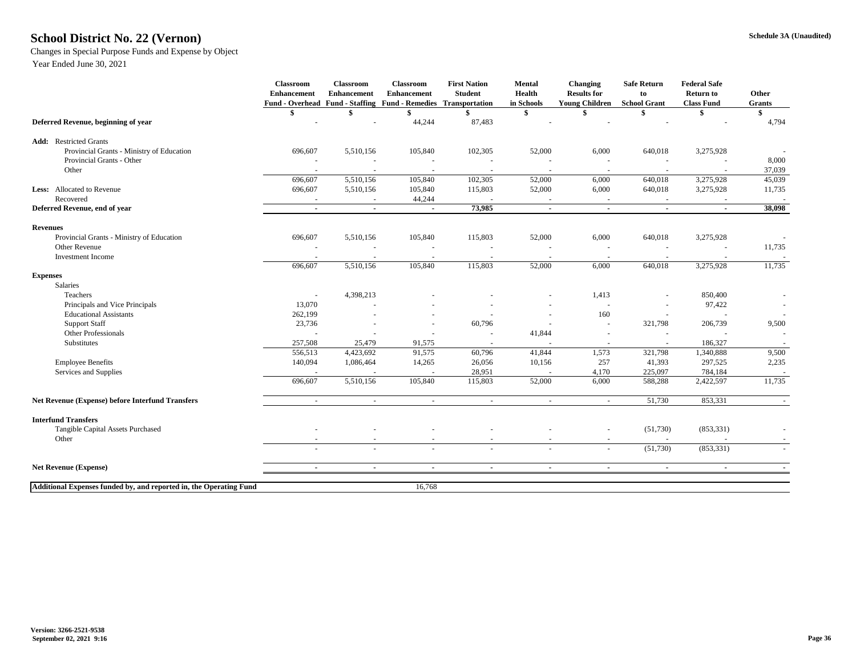### **Schedule 3A (Unaudited) School District No. 22 (Vernon)**

Changes in Special Purpose Funds and Expense by Object

Year Ended June 30, 2021

|                                                                    | <b>Classroom</b><br><b>Enhancement</b> | <b>Classroom</b><br><b>Enhancement</b> | <b>Classroom</b><br><b>Enhancement</b><br>Fund - Overhead Fund - Staffing Fund - Remedies Transportation | <b>First Nation</b><br><b>Student</b> | <b>Mental</b><br><b>Health</b><br>in Schools | <b>Changing</b><br><b>Results for</b><br><b>Young Children</b> | <b>Safe Return</b><br>to<br><b>School Grant</b> | <b>Federal Safe</b><br><b>Return to</b><br><b>Class Fund</b> | Other<br><b>Grants</b> |
|--------------------------------------------------------------------|----------------------------------------|----------------------------------------|----------------------------------------------------------------------------------------------------------|---------------------------------------|----------------------------------------------|----------------------------------------------------------------|-------------------------------------------------|--------------------------------------------------------------|------------------------|
|                                                                    |                                        |                                        |                                                                                                          |                                       |                                              |                                                                |                                                 |                                                              |                        |
| Deferred Revenue, beginning of year                                |                                        |                                        | 44,244                                                                                                   | 87,483                                |                                              |                                                                |                                                 |                                                              | 4,794                  |
| <b>Add:</b> Restricted Grants                                      |                                        |                                        |                                                                                                          |                                       |                                              |                                                                |                                                 |                                                              |                        |
| Provincial Grants - Ministry of Education                          | 696,607                                | 5,510,156                              | 105,840                                                                                                  | 102,305                               | 52,000                                       | 6,000                                                          | 640,018                                         | 3,275,928                                                    |                        |
| <b>Provincial Grants - Other</b>                                   |                                        |                                        |                                                                                                          |                                       |                                              |                                                                |                                                 |                                                              | 8,000                  |
| Other                                                              |                                        |                                        |                                                                                                          |                                       |                                              |                                                                |                                                 |                                                              | 37,039                 |
|                                                                    | 696,607                                | 5,510,156                              | 105,840                                                                                                  | 102,305                               | 52,000                                       | 6,000                                                          | 640,018                                         | 3,275,928                                                    | 45,039                 |
| <b>Less:</b> Allocated to Revenue                                  | 696,607                                | 5,510,156                              | 105,840                                                                                                  | 115,803                               | 52,000                                       | 6,000                                                          | 640,018                                         | 3,275,928                                                    | 11,735                 |
| Recovered                                                          |                                        |                                        | 44,244                                                                                                   |                                       |                                              |                                                                |                                                 |                                                              |                        |
| Deferred Revenue, end of year                                      | $\sim$                                 | $\sim$                                 | $\sim$                                                                                                   | 73,985                                | $\sim$                                       | $\sim$                                                         | $\blacksquare$                                  | $\sim$                                                       | 38,098                 |
| <b>Revenues</b>                                                    |                                        |                                        |                                                                                                          |                                       |                                              |                                                                |                                                 |                                                              |                        |
| Provincial Grants - Ministry of Education                          | 696,607                                | 5,510,156                              | 105,840                                                                                                  | 115,803                               | 52,000                                       | 6,000                                                          | 640,018                                         | 3,275,928                                                    |                        |
| Other Revenue                                                      |                                        |                                        |                                                                                                          |                                       |                                              |                                                                |                                                 |                                                              | 11,735                 |
| <b>Investment Income</b>                                           |                                        |                                        |                                                                                                          |                                       |                                              |                                                                |                                                 |                                                              |                        |
|                                                                    | 696,607                                | 5,510,156                              | 105,840                                                                                                  | 115,803                               | 52,000                                       | 6,000                                                          | 640,018                                         | 3,275,928                                                    | 11,735                 |
| <b>Expenses</b>                                                    |                                        |                                        |                                                                                                          |                                       |                                              |                                                                |                                                 |                                                              |                        |
| Salaries                                                           |                                        |                                        |                                                                                                          |                                       |                                              |                                                                |                                                 |                                                              |                        |
| Teachers                                                           |                                        | 4,398,213                              |                                                                                                          |                                       | $\overline{\phantom{a}}$                     | 1,413                                                          |                                                 | 850,400                                                      |                        |
| Principals and Vice Principals                                     | 13,070                                 |                                        |                                                                                                          |                                       |                                              |                                                                |                                                 | 97,422                                                       |                        |
| <b>Educational Assistants</b>                                      | 262,199                                |                                        |                                                                                                          |                                       |                                              | 160                                                            |                                                 |                                                              |                        |
| <b>Support Staff</b>                                               | 23,736                                 |                                        |                                                                                                          | 60,796                                |                                              |                                                                | 321,798                                         | 206,739                                                      | 9,500                  |
| <b>Other Professionals</b>                                         |                                        |                                        |                                                                                                          |                                       | 41,844                                       |                                                                |                                                 |                                                              |                        |
| Substitutes                                                        | 257,508                                | 25,479                                 | 91,575                                                                                                   |                                       |                                              |                                                                |                                                 | 186,327                                                      |                        |
|                                                                    | 556,513                                | 4,423,692                              | 91,575                                                                                                   | 60,796                                | 41,844                                       | 1,573                                                          | 321,798                                         | 1,340,888                                                    | 9,500                  |
| <b>Employee Benefits</b>                                           | 140,094                                | 1,086,464                              | 14,265                                                                                                   | 26,056                                | 10,156                                       | 257                                                            | 41,393                                          | 297,525                                                      | 2,235                  |
| Services and Supplies                                              |                                        |                                        |                                                                                                          | 28,951                                |                                              | 4,170                                                          | 225,097                                         | 784,184                                                      |                        |
|                                                                    | 696,607                                | 5,510,156                              | 105,840                                                                                                  | 115,803                               | 52,000                                       | 6,000                                                          | 588,288                                         | 2,422,597                                                    | 11,735                 |
| <b>Net Revenue (Expense) before Interfund Transfers</b>            |                                        |                                        |                                                                                                          |                                       |                                              |                                                                | 51,730                                          | 853,331                                                      |                        |
| <b>Interfund Transfers</b>                                         |                                        |                                        |                                                                                                          |                                       |                                              |                                                                |                                                 |                                                              |                        |
| Tangible Capital Assets Purchased                                  |                                        |                                        |                                                                                                          |                                       |                                              |                                                                | (51,730)                                        | (853,331)                                                    |                        |
| Other                                                              |                                        |                                        |                                                                                                          |                                       |                                              |                                                                |                                                 |                                                              |                        |
|                                                                    |                                        | $\sim$                                 | $\sim$                                                                                                   | $\overline{\phantom{a}}$              | $\overline{\phantom{a}}$                     | $\equiv$                                                       | (51, 730)                                       | (853, 331)                                                   |                        |
| <b>Net Revenue (Expense)</b>                                       | $\blacksquare$                         |                                        | $\blacksquare$                                                                                           | $\sim$                                | $\blacksquare$                               | $\sim$                                                         | $\blacksquare$                                  | $\sim$                                                       |                        |
| Additional Expenses funded by, and reported in, the Operating Fund |                                        |                                        | 16,768                                                                                                   |                                       |                                              |                                                                |                                                 |                                                              |                        |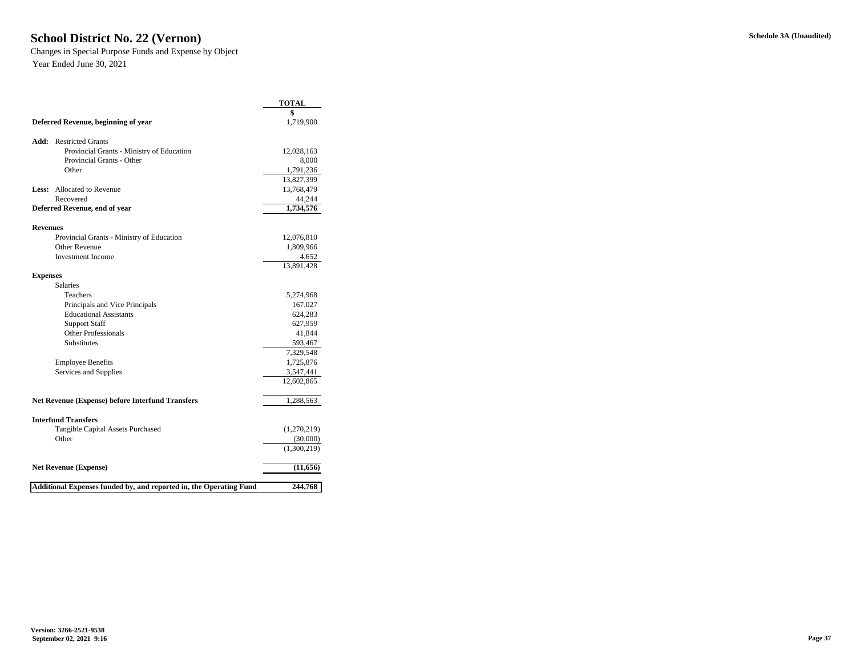### **Schedule 3A (Unaudited) School District No. 22 (Vernon)**

Changes in Special Purpose Funds and Expense by Object Year Ended June 30, 2021

|                                                                    | <b>TOTAL</b> |
|--------------------------------------------------------------------|--------------|
|                                                                    | \$           |
| Deferred Revenue, beginning of year                                | 1,719,900    |
| <b>Restricted Grants</b><br>Add:                                   |              |
| Provincial Grants - Ministry of Education                          | 12,028,163   |
| <b>Provincial Grants - Other</b>                                   | 8,000        |
| Other                                                              | 1,791,236    |
|                                                                    | 13,827,399   |
| Allocated to Revenue<br>Less:                                      | 13,768,479   |
| Recovered                                                          | 44,244       |
| Deferred Revenue, end of year                                      | 1,734,576    |
| <b>Revenues</b>                                                    |              |
| Provincial Grants - Ministry of Education                          | 12,076,810   |
| <b>Other Revenue</b>                                               | 1,809,966    |
| <b>Investment Income</b>                                           | 4,652        |
|                                                                    | 13,891,428   |
| <b>Expenses</b>                                                    |              |
| Salaries                                                           |              |
| Teachers                                                           | 5,274,968    |
| Principals and Vice Principals                                     | 167,027      |
| <b>Educational Assistants</b>                                      | 624,283      |
| <b>Support Staff</b>                                               | 627,959      |
| <b>Other Professionals</b>                                         | 41,844       |
| Substitutes                                                        | 593,467      |
|                                                                    | 7,329,548    |
| <b>Employee Benefits</b>                                           | 1,725,876    |
| Services and Supplies                                              | 3,547,441    |
|                                                                    | 12,602,865   |
| <b>Net Revenue (Expense) before Interfund Transfers</b>            | 1,288,563    |
| <b>Interfund Transfers</b>                                         |              |
| <b>Tangible Capital Assets Purchased</b>                           | (1,270,219)  |
| Other                                                              | (30,000)     |
|                                                                    | (1,300,219)  |
| <b>Net Revenue (Expense)</b>                                       | (11, 656)    |
|                                                                    |              |
| Additional Expenses funded by, and reported in, the Operating Fund | 244,768      |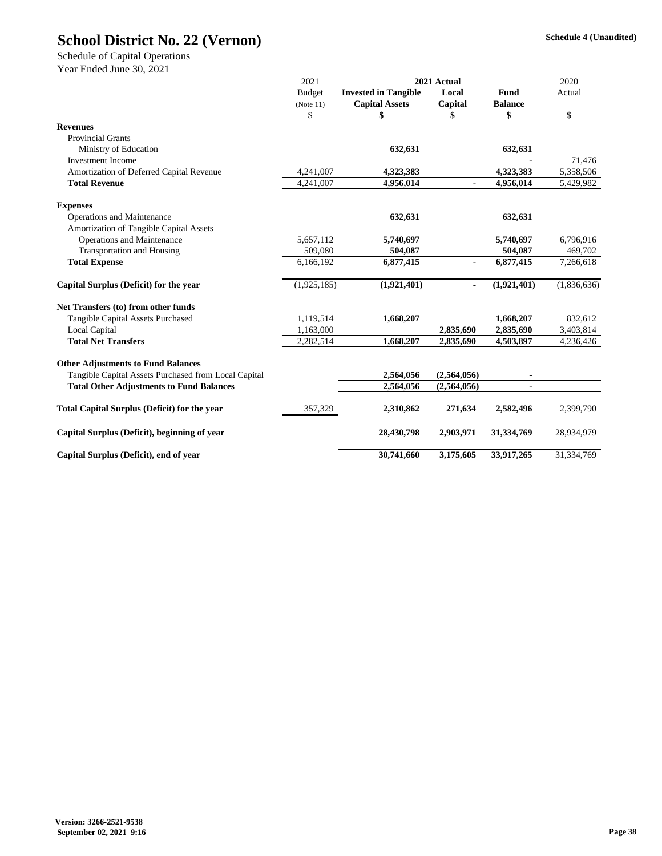|                                                      | 2021          | 2021 Actual                 |                | 2020           |             |
|------------------------------------------------------|---------------|-----------------------------|----------------|----------------|-------------|
|                                                      | <b>Budget</b> | <b>Invested in Tangible</b> | Local          | <b>Fund</b>    | Actual      |
|                                                      | (Note $11$ )  | <b>Capital Assets</b>       | Capital        | <b>Balance</b> |             |
|                                                      | $\mathcal{S}$ | \$                          | \$             | \$             | \$          |
| <b>Revenues</b>                                      |               |                             |                |                |             |
| <b>Provincial Grants</b>                             |               |                             |                |                |             |
| Ministry of Education                                |               | 632,631                     |                | 632,631        |             |
| <b>Investment Income</b>                             |               |                             |                |                | 71,476      |
| Amortization of Deferred Capital Revenue             | 4,241,007     | 4,323,383                   |                | 4,323,383      | 5,358,506   |
| <b>Total Revenue</b>                                 | 4,241,007     | 4,956,014                   | $\blacksquare$ | 4,956,014      | 5,429,982   |
| <b>Expenses</b>                                      |               |                             |                |                |             |
| <b>Operations and Maintenance</b>                    |               | 632,631                     |                | 632,631        |             |
| Amortization of Tangible Capital Assets              |               |                             |                |                |             |
| <b>Operations and Maintenance</b>                    | 5,657,112     | 5,740,697                   |                | 5,740,697      | 6,796,916   |
| <b>Transportation and Housing</b>                    | 509,080       | 504,087                     |                | 504,087        | 469,702     |
| <b>Total Expense</b>                                 | 6,166,192     | 6,877,415                   |                | 6,877,415      | 7,266,618   |
| Capital Surplus (Deficit) for the year               | (1,925,185)   | (1,921,401)                 |                | (1,921,401)    | (1,836,636) |
| Net Transfers (to) from other funds                  |               |                             |                |                |             |
| <b>Tangible Capital Assets Purchased</b>             | 1,119,514     | 1,668,207                   |                | 1,668,207      | 832,612     |
| Local Capital                                        | 1,163,000     |                             | 2,835,690      | 2,835,690      | 3,403,814   |
| <b>Total Net Transfers</b>                           | 2,282,514     | 1,668,207                   | 2,835,690      | 4,503,897      | 4,236,426   |
| <b>Other Adjustments to Fund Balances</b>            |               |                             |                |                |             |
| Tangible Capital Assets Purchased from Local Capital |               | 2,564,056                   | (2,564,056)    |                |             |
| <b>Total Other Adjustments to Fund Balances</b>      |               | 2,564,056                   | (2,564,056)    | $\blacksquare$ |             |
| <b>Total Capital Surplus (Deficit) for the year</b>  | 357,329       | 2,310,862                   | 271,634        | 2,582,496      | 2,399,790   |
| Capital Surplus (Deficit), beginning of year         |               | 28,430,798                  | 2,903,971      | 31,334,769     | 28,934,979  |
| Capital Surplus (Deficit), end of year               |               | 30,741,660                  | 3,175,605      | 33,917,265     | 31,334,769  |
|                                                      |               |                             |                |                |             |

Schedule of Capital Operations

Year Ended June 30, 2021

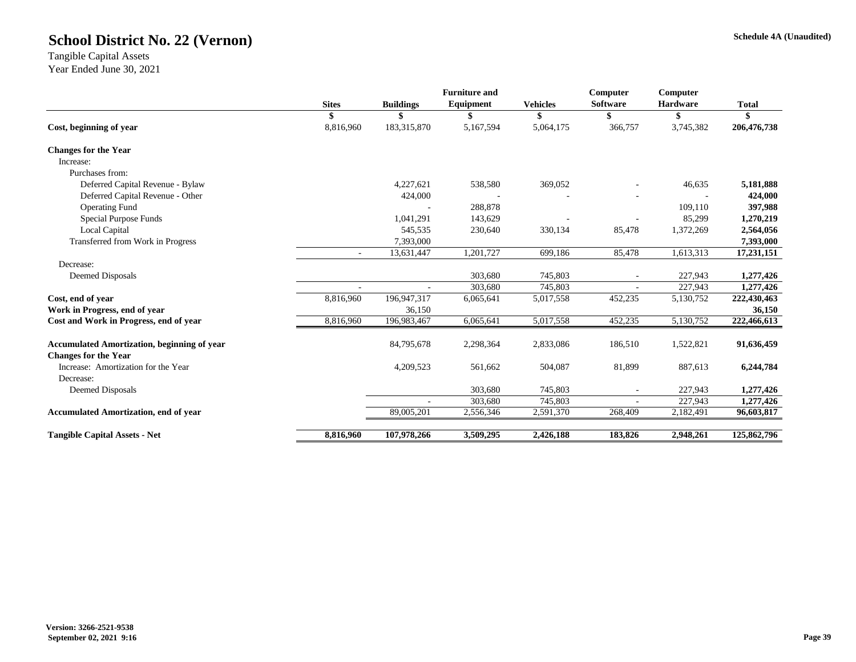|                                                    |              |                  | <b>Furniture and</b> |                 | Computer        | Computer        |              |
|----------------------------------------------------|--------------|------------------|----------------------|-----------------|-----------------|-----------------|--------------|
|                                                    | <b>Sites</b> | <b>Buildings</b> | Equipment            | <b>Vehicles</b> | <b>Software</b> | <b>Hardware</b> | <b>Total</b> |
|                                                    |              | \$               |                      | S               |                 | S               | \$           |
| Cost, beginning of year                            | 8,816,960    | 183,315,870      | 5,167,594            | 5,064,175       | 366,757         | 3,745,382       | 206,476,738  |
| <b>Changes for the Year</b>                        |              |                  |                      |                 |                 |                 |              |
| Increase:                                          |              |                  |                      |                 |                 |                 |              |
| Purchases from:                                    |              |                  |                      |                 |                 |                 |              |
| Deferred Capital Revenue - Bylaw                   |              | 4,227,621        | 538,580              | 369,052         |                 | 46,635          | 5,181,888    |
| Deferred Capital Revenue - Other                   |              | 424,000          |                      |                 |                 |                 | 424,000      |
| <b>Operating Fund</b>                              |              |                  | 288,878              |                 |                 | 109,110         | 397,988      |
| <b>Special Purpose Funds</b>                       |              | 1,041,291        | 143,629              |                 |                 | 85,299          | 1,270,219    |
| <b>Local Capital</b>                               |              | 545,535          | 230,640              | 330,134         | 85,478          | 1,372,269       | 2,564,056    |
| Transferred from Work in Progress                  |              | 7,393,000        |                      |                 |                 |                 | 7,393,000    |
|                                                    | $\sim$       | 13,631,447       | ,201,727             | 699,186         | 85,478          | 1,613,313       | 17,231,151   |
| Decrease:                                          |              |                  |                      |                 |                 |                 |              |
| Deemed Disposals                                   |              |                  | 303,680              | 745,803         |                 | 227,943         | 1,277,426    |
|                                                    |              |                  | 303,680              | 745,803         |                 | 227,943         | 1,277,426    |
| Cost, end of year                                  | 8,816,960    | 196,947,317      | 6,065,641            | 5,017,558       | 452,235         | 5,130,752       | 222,430,463  |
| Work in Progress, end of year                      |              | 36,150           |                      |                 |                 |                 | 36,150       |
| Cost and Work in Progress, end of year             | 8,816,960    | 196,983,467      | 6,065,641            | 5,017,558       | 452,235         | 5,130,752       | 222,466,613  |
| <b>Accumulated Amortization, beginning of year</b> |              | 84,795,678       | 2,298,364            | 2,833,086       | 186,510         | 1,522,821       | 91,636,459   |
| <b>Changes for the Year</b>                        |              |                  |                      |                 |                 |                 |              |
| Increase: Amortization for the Year                |              | 4,209,523        | 561,662              | 504,087         | 81,899          | 887,613         | 6,244,784    |
| Decrease:                                          |              |                  |                      |                 |                 |                 |              |
| Deemed Disposals                                   |              |                  | 303,680              | 745,803         |                 | 227,943         | 1,277,426    |
|                                                    |              |                  | 303,680              | 745,803         |                 | 227,943         | 1,277,426    |
| <b>Accumulated Amortization, end of year</b>       |              | 89,005,201       | 2,556,346            | 2,591,370       | 268,409         | 2,182,491       | 96,603,817   |
| <b>Tangible Capital Assets - Net</b>               | 8,816,960    | 107,978,266      | 3,509,295            | 2,426,188       | 183,826         | 2,948,261       | 125,862,796  |
|                                                    |              |                  |                      |                 |                 |                 |              |

Tangible Capital Assets Year Ended June 30, 2021

### **School District No. 22 (Vernon)**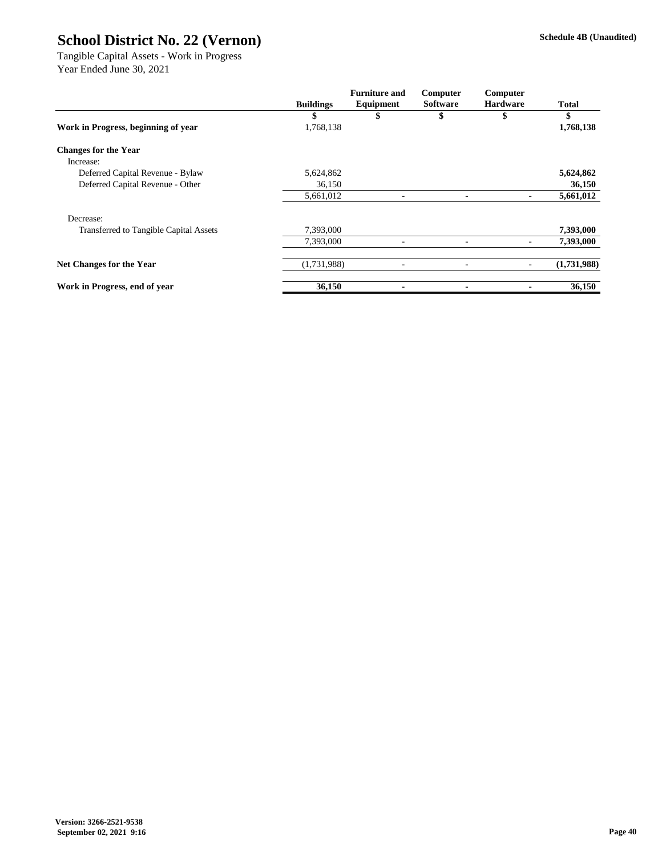|                                               |                  | <b>Furniture and</b><br>Equipment | Computer<br><b>Software</b> | Computer<br><b>Hardware</b> | <b>Total</b> |
|-----------------------------------------------|------------------|-----------------------------------|-----------------------------|-----------------------------|--------------|
|                                               | <b>Buildings</b> |                                   |                             |                             |              |
|                                               | \$               | \$                                | \$                          | \$                          | \$           |
| Work in Progress, beginning of year           | 1,768,138        |                                   |                             |                             | 1,768,138    |
| <b>Changes for the Year</b>                   |                  |                                   |                             |                             |              |
| Increase:                                     |                  |                                   |                             |                             |              |
| Deferred Capital Revenue - Bylaw              | 5,624,862        |                                   |                             |                             | 5,624,862    |
| Deferred Capital Revenue - Other              | 36,150           |                                   |                             |                             | 36,150       |
|                                               | 5,661,012        |                                   |                             |                             | 5,661,012    |
| Decrease:                                     |                  |                                   |                             |                             |              |
| <b>Transferred to Tangible Capital Assets</b> | 7,393,000        |                                   |                             |                             | 7,393,000    |
|                                               | 7,393,000        |                                   |                             |                             | 7,393,000    |
| <b>Net Changes for the Year</b>               | (1,731,988)      |                                   |                             |                             | (1,731,988)  |
| Work in Progress, end of year                 | 36,150           | $\blacksquare$                    | ۰                           |                             | 36,150       |

Tangible Capital Assets - Work in Progress Year Ended June 30, 2021

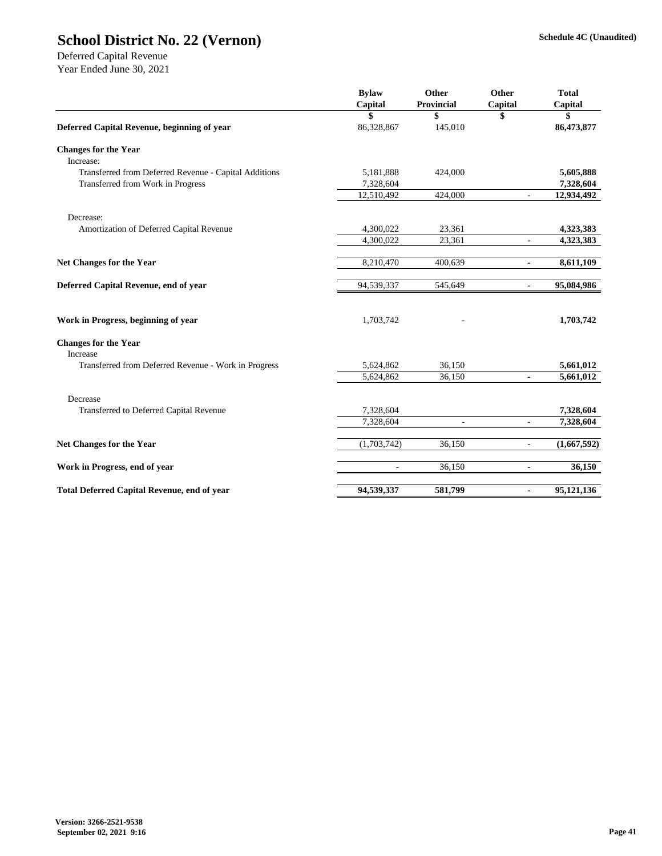|                                                       | <b>Bylaw</b><br>Capital  | <b>Other</b><br><b>Provincial</b> | <b>Other</b><br>Capital  | <b>Total</b><br>Capital |
|-------------------------------------------------------|--------------------------|-----------------------------------|--------------------------|-------------------------|
|                                                       | \$                       | \$                                | \$                       | \$                      |
| Deferred Capital Revenue, beginning of year           | 86,328,867               | 145,010                           |                          | 86,473,877              |
| <b>Changes for the Year</b>                           |                          |                                   |                          |                         |
| Increase:                                             |                          |                                   |                          |                         |
| Transferred from Deferred Revenue - Capital Additions | 5,181,888                | 424,000                           |                          | 5,605,888               |
| Transferred from Work in Progress                     | 7,328,604                |                                   |                          | 7,328,604               |
|                                                       | 12,510,492               | 424,000                           | $\overline{\phantom{a}}$ | 12,934,492              |
| Decrease:                                             |                          |                                   |                          |                         |
| Amortization of Deferred Capital Revenue              | 4,300,022                | 23,361                            |                          | 4,323,383               |
|                                                       | 4,300,022                | 23,361                            |                          | 4,323,383               |
| <b>Net Changes for the Year</b>                       | 8,210,470                | 400,639                           | $\overline{\phantom{a}}$ | 8,611,109               |
| Deferred Capital Revenue, end of year                 | 94,539,337               | 545,649                           | $\overline{\phantom{a}}$ | 95,084,986              |
|                                                       |                          |                                   |                          |                         |
| Work in Progress, beginning of year                   | 1,703,742                |                                   |                          | 1,703,742               |
| <b>Changes for the Year</b><br>Increase               |                          |                                   |                          |                         |
| Transferred from Deferred Revenue - Work in Progress  | 5,624,862                | 36,150                            |                          | 5,661,012               |
|                                                       | 5,624,862                | 36,150                            |                          | 5,661,012               |
| Decrease                                              |                          |                                   |                          |                         |
| Transferred to Deferred Capital Revenue               | 7,328,604                |                                   |                          | 7,328,604               |
|                                                       | 7,328,604                |                                   | $\overline{\phantom{a}}$ | 7,328,604               |
| <b>Net Changes for the Year</b>                       | (1,703,742)              | 36,150                            | $\overline{\phantom{a}}$ | (1,667,592)             |
| Work in Progress, end of year                         | $\overline{\phantom{a}}$ | 36,150                            | $\overline{\phantom{a}}$ | 36,150                  |
|                                                       |                          |                                   |                          |                         |
| <b>Total Deferred Capital Revenue, end of year</b>    | 94,539,337               | 581,799                           | $\blacksquare$           | 95,121,136              |

Deferred Capital Revenue Year Ended June 30, 2021